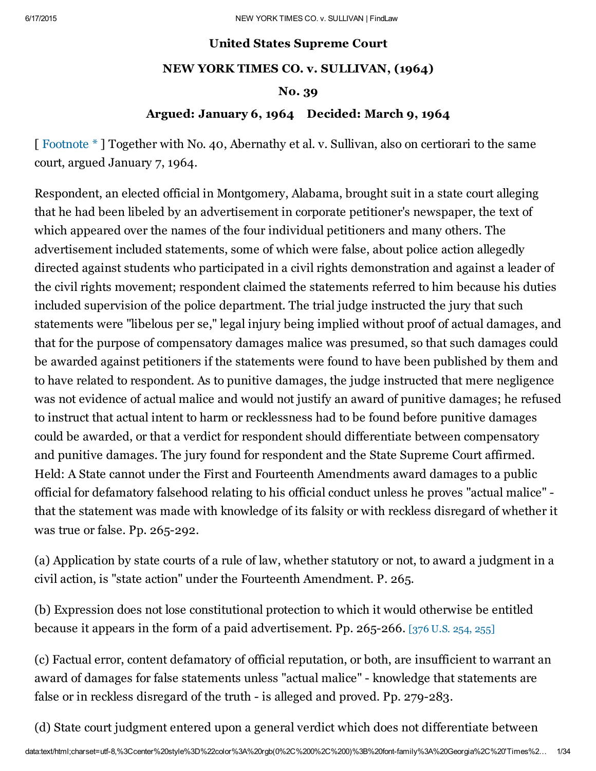# United States Supreme Court NEW YORK TIMES CO. v. SULLIVAN, (1964)

## No. 39

## Argued: January 6, 1964 Decided: March 9, 1964

[ [Footnote](http://caselaw.findlaw.com/us-supreme-court/376/254.html#t*) \* ] Together with No. 40, Abernathy et al. v. Sullivan, also on certiorari to the same court, argued January 7, 1964.

Respondent, an elected official in Montgomery, Alabama, brought suit in a state court alleging that he had been libeled by an advertisement in corporate petitioner's newspaper, the text of which appeared over the names of the four individual petitioners and many others. The advertisement included statements, some of which were false, about police action allegedly directed against students who participated in a civil rights demonstration and against a leader of the civil rights movement; respondent claimed the statements referred to him because his duties included supervision of the police department. The trial judge instructed the jury that such statements were "libelous per se," legal injury being implied without proof of actual damages, and that for the purpose of compensatory damages malice was presumed, so that such damages could be awarded against petitioners if the statements were found to have been published by them and to have related to respondent. As to punitive damages, the judge instructed that mere negligence was not evidence of actual malice and would not justify an award of punitive damages; he refused to instruct that actual intent to harm or recklessness had to be found before punitive damages could be awarded, or that a verdict for respondent should differentiate between compensatory and punitive damages. The jury found for respondent and the State Supreme Court affirmed. Held: A State cannot under the First and Fourteenth Amendments award damages to a public official for defamatory falsehood relating to his official conduct unless he proves "actual malice" that the statement was made with knowledge of its falsity or with reckless disregard of whether it was true or false. Pp. 265-292.

(a) Application by state courts of a rule of law, whether statutory or not, to award a judgment in a civil action, is "state action" under the Fourteenth Amendment. P. 265.

(b) Expression does not lose constitutional protection to which it would otherwise be entitled because it appears in the form of a paid advertisement. Pp. 265-266. [ $376$  U.S.  $254$ ,  $255$ ]

(c) Factual error, content defamatory of official reputation, or both, are insufficient to warrant an award of damages for false statements unless "actual malice" - knowledge that statements are false or in reckless disregard of the truth - is alleged and proved. Pp. 279-283.

(d) State court judgment entered upon a general verdict which does not differentiate between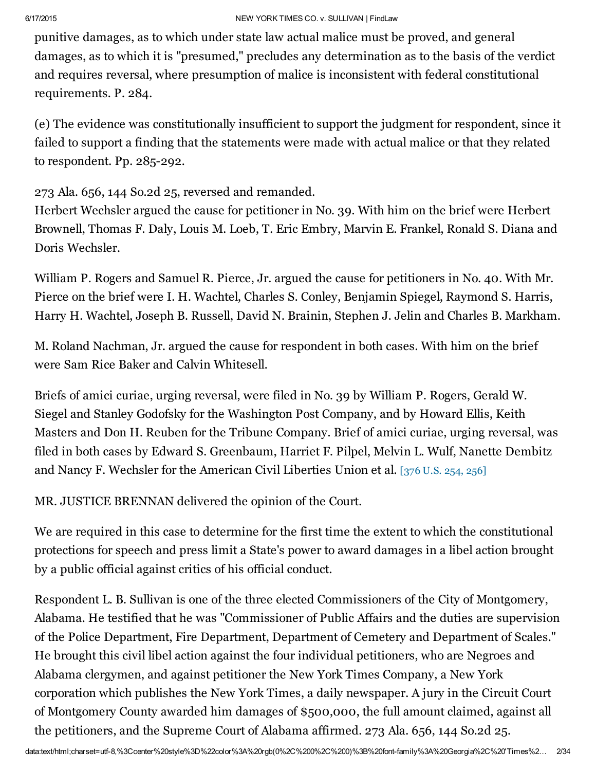punitive damages, as to which under state law actual malice must be proved, and general damages, as to which it is "presumed," precludes any determination as to the basis of the verdict and requires reversal, where presumption of malice is inconsistent with federal constitutional requirements. P. 284.

(e) The evidence was constitutionally insufficient to support the judgment for respondent, since it failed to support a finding that the statements were made with actual malice or that they related to respondent. Pp.  $285-292$ .

273 Ala. 656, 144 So.2d 25, reversed and remanded.

Herbert Wechsler argued the cause for petitioner in No. 39. With him on the brief were Herbert Brownell, Thomas F. Daly, Louis M. Loeb, T. Eric Embry, Marvin E. Frankel, Ronald S. Diana and Doris Wechsler.

William P. Rogers and Samuel R. Pierce, Jr. argued the cause for petitioners in No. 40. With Mr. Pierce on the brief were I. H. Wachtel, Charles S. Conley, Benjamin Spiegel, Raymond S. Harris, Harry H. Wachtel, Joseph B. Russell, David N. Brainin, Stephen J. Jelin and Charles B. Markham.

M. Roland Nachman, Jr. argued the cause for respondent in both cases. With him on the brief were Sam Rice Baker and Calvin Whitesell.

Briefs of amici curiae, urging reversal, were filed in No. 39 by William P. Rogers, Gerald W. Siegel and Stanley Godofsky for the Washington Post Company, and by Howard Ellis, Keith Masters and Don H. Reuben for the Tribune Company. Brief of amici curiae, urging reversal, was filed in both cases by Edward S. Greenbaum, Harriet F. Pilpel, Melvin L. Wulf, Nanette Dembitz and Nancy F. Wechsler for the American Civil Liberties Union et al. [376 U.S. 254, 256]

MR. JUSTICE BRENNAN delivered the opinion of the Court.

We are required in this case to determine for the first time the extent to which the constitutional protections for speech and press limit a State's power to award damages in a libel action brought by a public official against critics of his official conduct.

Respondent L. B. Sullivan is one of the three elected Commissioners of the City of Montgomery, Alabama. He testified that he was "Commissioner of Public Affairs and the duties are supervision of the Police Department, Fire Department, Department of Cemetery and Department of Scales." He brought this civil libel action against the four individual petitioners, who are Negroes and Alabama clergymen, and against petitioner the New York Times Company, a New York corporation which publishes the New York Times, a daily newspaper. A jury in the Circuit Court of Montgomery County awarded him damages of \$500,000, the full amount claimed, against all the petitioners, and the Supreme Court of Alabama affirmed. 273 Ala. 656, 144 So.2d 25.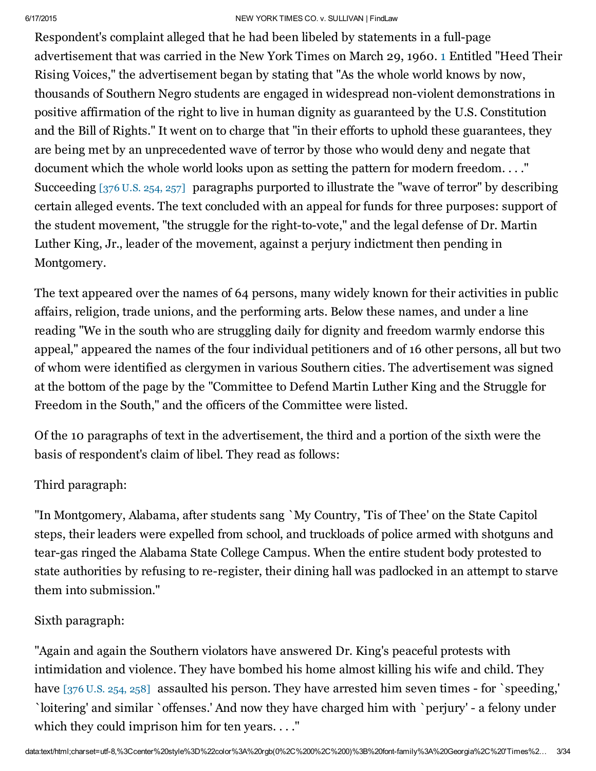Respondent's complaint alleged that he had been libeled by statements in a full-page advertisement that was carried in the New York Times on March 29, 1960. [1](http://caselaw.findlaw.com/us-supreme-court/376/254.html#f1) Entitled "Heed Their Rising Voices," the advertisement began by stating that "As the whole world knows by now, thousands of Southern Negro students are engaged in widespread non-violent demonstrations in positive affirmation of the right to live in human dignity as guaranteed by the U.S. Constitution and the Bill of Rights." It went on to charge that "in their efforts to uphold these guarantees, they are being met by an unprecedented wave of terror by those who would deny and negate that document which the whole world looks upon as setting the pattern for modern freedom. . . ." Succeeding [376 U.S. 254, 257] paragraphs purported to illustrate the "wave of terror" by describing certain alleged events. The text concluded with an appeal for funds for three purposes: support of the student movement, "the struggle for the right-to-vote," and the legal defense of Dr. Martin Luther King, Jr., leader of the movement, against a perjury indictment then pending in Montgomery.

The text appeared over the names of 64 persons, many widely known for their activities in public affairs, religion, trade unions, and the performing arts. Below these names, and under a line reading "We in the south who are struggling daily for dignity and freedom warmly endorse this appeal," appeared the names of the four individual petitioners and of 16 other persons, all but two of whom were identified as clergymen in various Southern cities. The advertisement was signed at the bottom of the page by the "Committee to Defend Martin Luther King and the Struggle for Freedom in the South," and the officers of the Committee were listed.

Of the 10 paragraphs of text in the advertisement, the third and a portion of the sixth were the basis of respondent's claim of libel. They read as follows:

Third paragraph:

"In Montgomery, Alabama, after students sang `My Country, 'Tis of Thee' on the State Capitol steps, their leaders were expelled from school, and truckloads of police armed with shotguns and tear-gas ringed the Alabama State College Campus. When the entire student body protested to state authorities by refusing to re-register, their dining hall was padlocked in an attempt to starve them into submission."

## Sixth paragraph:

"Again and again the Southern violators have answered Dr. King's peaceful protests with intimidation and violence. They have bombed his home almost killing his wife and child. They have  $[376 \text{ U.S. } 254, 258]$  assaulted his person. They have arrested him seven times - for `speeding,' `loitering' and similar `offenses.' And now they have charged him with `perjury' a felony under which they could imprison him for ten years...."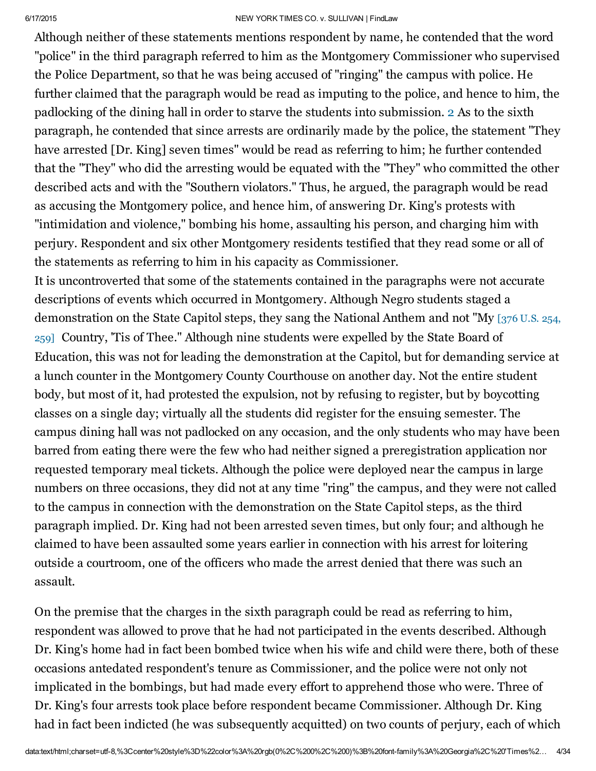Although neither of these statements mentions respondent by name, he contended that the word "police" in the third paragraph referred to him as the Montgomery Commissioner who supervised the Police Department, so that he was being accused of "ringing" the campus with police. He further claimed that the paragraph would be read as imputing to the police, and hence to him, the padlocking of the dining hall in order to starve the students into submission. [2](http://caselaw.findlaw.com/us-supreme-court/376/254.html#f2) As to the sixth paragraph, he contended that since arrests are ordinarily made by the police, the statement "They have arrested [Dr. King] seven times" would be read as referring to him; he further contended that the "They" who did the arresting would be equated with the "They" who committed the other described acts and with the "Southern violators." Thus, he argued, the paragraph would be read as accusing the Montgomery police, and hence him, of answering Dr. King's protests with "intimidation and violence," bombing his home, assaulting his person, and charging him with perjury. Respondent and six other Montgomery residents testified that they read some or all of the statements as referring to him in his capacity as Commissioner.

It is uncontroverted that some of the statements contained in the paragraphs were not accurate descriptions of events which occurred in Montgomery. Although Negro students staged a demonstration on the State Capitol steps, they sang the National Anthem and not "My [376 U.S. 254, 259] Country, 'Tis of Thee." Although nine students were expelled by the State Board of Education, this was not for leading the demonstration at the Capitol, but for demanding service at a lunch counter in the Montgomery County Courthouse on another day. Not the entire student body, but most of it, had protested the expulsion, not by refusing to register, but by boycotting classes on a single day; virtually all the students did register for the ensuing semester. The campus dining hall was not padlocked on any occasion, and the only students who may have been barred from eating there were the few who had neither signed a preregistration application nor requested temporary meal tickets. Although the police were deployed near the campus in large numbers on three occasions, they did not at any time "ring" the campus, and they were not called to the campus in connection with the demonstration on the State Capitol steps, as the third paragraph implied. Dr. King had not been arrested seven times, but only four; and although he claimed to have been assaulted some years earlier in connection with his arrest for loitering outside a courtroom, one of the officers who made the arrest denied that there was such an assault.

On the premise that the charges in the sixth paragraph could be read as referring to him, respondent was allowed to prove that he had not participated in the events described. Although Dr. King's home had in fact been bombed twice when his wife and child were there, both of these occasions antedated respondent's tenure as Commissioner, and the police were not only not implicated in the bombings, but had made every effort to apprehend those who were. Three of Dr. King's four arrests took place before respondent became Commissioner. Although Dr. King had in fact been indicted (he was subsequently acquitted) on two counts of perjury, each of which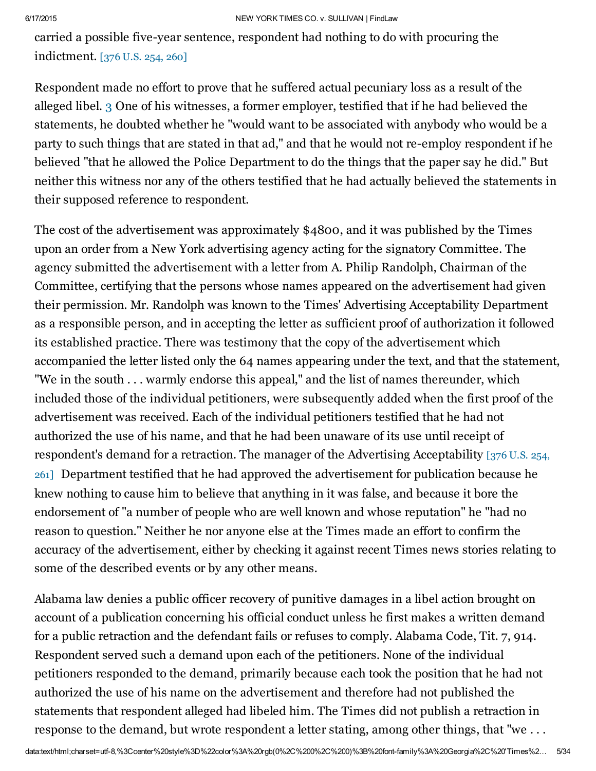carried a possible five-year sentence, respondent had nothing to do with procuring the indictment. [376 U.S. 254, 260]

Respondent made no effort to prove that he suffered actual pecuniary loss as a result of the alleged libel. [3](http://caselaw.findlaw.com/us-supreme-court/376/254.html#f3) One of his witnesses, a former employer, testified that if he had believed the statements, he doubted whether he "would want to be associated with anybody who would be a party to such things that are stated in that ad," and that he would not re-employ respondent if he believed "that he allowed the Police Department to do the things that the paper say he did." But neither this witness nor any of the others testified that he had actually believed the statements in their supposed reference to respondent.

The cost of the advertisement was approximately \$4800, and it was published by the Times upon an order from a New York advertising agency acting for the signatory Committee. The agency submitted the advertisement with a letter from A. Philip Randolph, Chairman of the Committee, certifying that the persons whose names appeared on the advertisement had given their permission. Mr. Randolph was known to the Times' Advertising Acceptability Department as a responsible person, and in accepting the letter as sufficient proof of authorization it followed its established practice. There was testimony that the copy of the advertisement which accompanied the letter listed only the 64 names appearing under the text, and that the statement, "We in the south . . . warmly endorse this appeal," and the list of names thereunder, which included those of the individual petitioners, were subsequently added when the first proof of the advertisement was received. Each of the individual petitioners testified that he had not authorized the use of his name, and that he had been unaware of its use until receipt of respondent's demand for a retraction. The manager of the Advertising Acceptability [376 U.S. 254, 261] Department testified that he had approved the advertisement for publication because he knew nothing to cause him to believe that anything in it was false, and because it bore the endorsement of "a number of people who are well known and whose reputation" he "had no reason to question." Neither he nor anyone else at the Times made an effort to confirm the accuracy of the advertisement, either by checking it against recent Times news stories relating to some of the described events or by any other means.

Alabama law denies a public officer recovery of punitive damages in a libel action brought on account of a publication concerning his official conduct unless he first makes a written demand for a public retraction and the defendant fails or refuses to comply. Alabama Code, Tit. 7, 914. Respondent served such a demand upon each of the petitioners. None of the individual petitioners responded to the demand, primarily because each took the position that he had not authorized the use of his name on the advertisement and therefore had not published the statements that respondent alleged had libeled him. The Times did not publish a retraction in response to the demand, but wrote respondent a letter stating, among other things, that "we . . .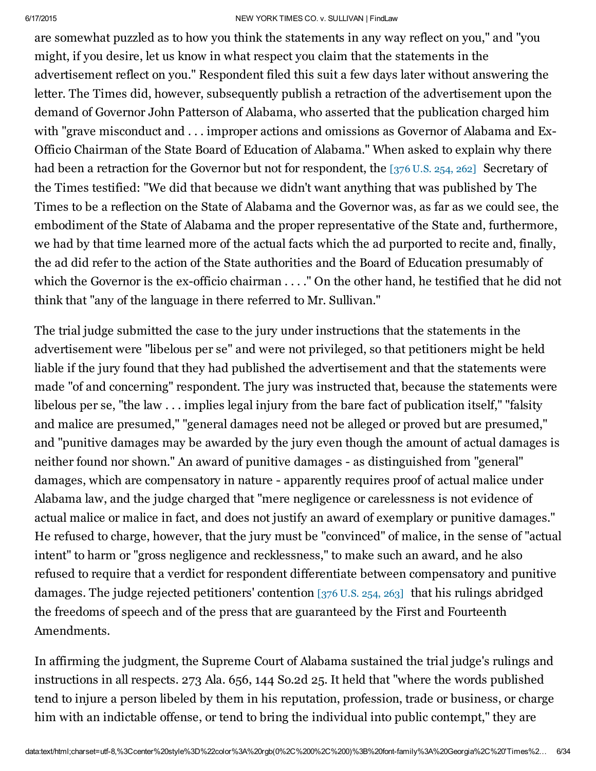are somewhat puzzled as to how you think the statements in any way reflect on you," and "you might, if you desire, let us know in what respect you claim that the statements in the advertisement reflect on you." Respondent filed this suit a few days later without answering the letter. The Times did, however, subsequently publish a retraction of the advertisement upon the demand of Governor John Patterson of Alabama, who asserted that the publication charged him with "grave misconduct and . . . improper actions and omissions as Governor of Alabama and Ex-Officio Chairman of the State Board of Education of Alabama." When asked to explain why there had been a retraction for the Governor but not for respondent, the [376 U.S. 254, 262] Secretary of the Times testified: "We did that because we didn't want anything that was published by The Times to be a reflection on the State of Alabama and the Governor was, as far as we could see, the embodiment of the State of Alabama and the proper representative of the State and, furthermore, we had by that time learned more of the actual facts which the ad purported to recite and, finally, the ad did refer to the action of the State authorities and the Board of Education presumably of which the Governor is the ex-officio chairman  $\dots$ ." On the other hand, he testified that he did not think that "any of the language in there referred to Mr. Sullivan."

The trial judge submitted the case to the jury under instructions that the statements in the advertisement were "libelous per se" and were not privileged, so that petitioners might be held liable if the jury found that they had published the advertisement and that the statements were made "of and concerning" respondent. The jury was instructed that, because the statements were libelous per se, "the law . . . implies legal injury from the bare fact of publication itself," "falsity and malice are presumed," "general damages need not be alleged or proved but are presumed," and "punitive damages may be awarded by the jury even though the amount of actual damages is neither found nor shown." An award of punitive damages - as distinguished from "general" damages, which are compensatory in nature - apparently requires proof of actual malice under Alabama law, and the judge charged that "mere negligence or carelessness is not evidence of actual malice or malice in fact, and does not justify an award of exemplary or punitive damages." He refused to charge, however, that the jury must be "convinced" of malice, in the sense of "actual intent" to harm or "gross negligence and recklessness," to make such an award, and he also refused to require that a verdict for respondent differentiate between compensatory and punitive damages. The judge rejected petitioners' contention [376 U.S. 254, 263] that his rulings abridged the freedoms of speech and of the press that are guaranteed by the First and Fourteenth Amendments.

In affirming the judgment, the Supreme Court of Alabama sustained the trial judge's rulings and instructions in all respects. 273 Ala. 656, 144 So.2d 25. It held that "where the words published tend to injure a person libeled by them in his reputation, profession, trade or business, or charge him with an indictable offense, or tend to bring the individual into public contempt," they are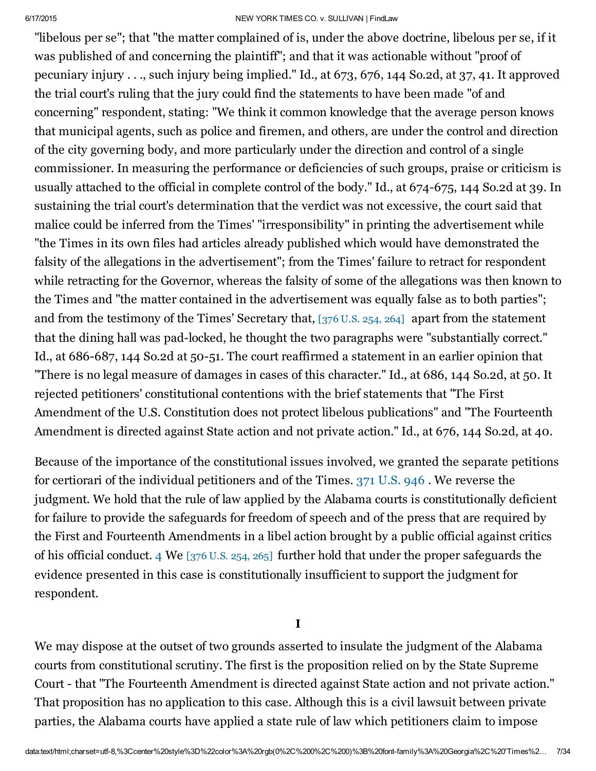"libelous per se"; that "the matter complained of is, under the above doctrine, libelous per se, if it was published of and concerning the plaintiff"; and that it was actionable without "proof of pecuniary injury . . ., such injury being implied." Id., at 673, 676, 144 So.2d, at 37, 41. It approved the trial court's ruling that the jury could find the statements to have been made "of and concerning" respondent, stating: "We think it common knowledge that the average person knows that municipal agents, such as police and firemen, and others, are under the control and direction of the city governing body, and more particularly under the direction and control of a single commissioner. In measuring the performance or deficiencies of such groups, praise or criticism is usually attached to the official in complete control of the body." Id., at 674-675, 144 So.2d at 39. In sustaining the trial court's determination that the verdict was not excessive, the court said that malice could be inferred from the Times' "irresponsibility" in printing the advertisement while "the Times in its own files had articles already published which would have demonstrated the falsity of the allegations in the advertisement"; from the Times' failure to retract for respondent while retracting for the Governor, whereas the falsity of some of the allegations was then known to the Times and "the matter contained in the advertisement was equally false as to both parties"; and from the testimony of the Times' Secretary that, [376 U.S. 254, 264] apart from the statement that the dining hall was pad-locked, he thought the two paragraphs were "substantially correct." Id., at  $686-687$ , 144 So.2d at 50-51. The court reaffirmed a statement in an earlier opinion that "There is no legal measure of damages in cases of this character." Id., at 686, 144 So.2d, at 50. It rejected petitioners' constitutional contentions with the brief statements that "The First Amendment of the U.S. Constitution does not protect libelous publications" and "The Fourteenth Amendment is directed against State action and not private action." Id., at 676, 144 So.2d, at 40.

Because of the importance of the constitutional issues involved, we granted the separate petitions for certiorari of the individual petitioners and of the Times. 371 [U.S.](http://caselaw.findlaw.com/us-supreme-court/371/946.html) 946 . We reverse the judgment. We hold that the rule of law applied by the Alabama courts is constitutionally deficient for failure to provide the safeguards for freedom of speech and of the press that are required by the First and Fourteenth Amendments in a libel action brought by a public official against critics of his official conduct. [4](http://caselaw.findlaw.com/us-supreme-court/376/254.html#f4) We [376 U.S. 254, 265] further hold that under the proper safeguards the evidence presented in this case is constitutionally insufficient to support the judgment for respondent.

I

We may dispose at the outset of two grounds asserted to insulate the judgment of the Alabama courts from constitutional scrutiny. The first is the proposition relied on by the State Supreme Court - that "The Fourteenth Amendment is directed against State action and not private action." That proposition has no application to this case. Although this is a civil lawsuit between private parties, the Alabama courts have applied a state rule of law which petitioners claim to impose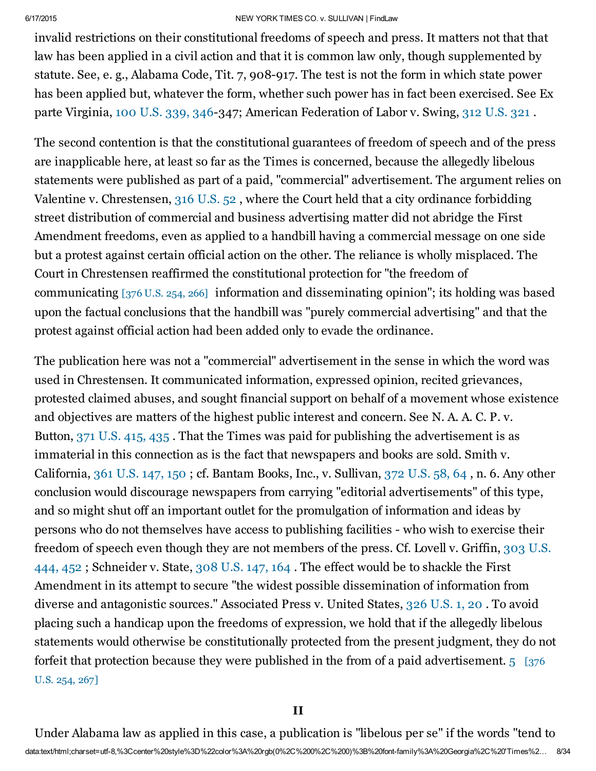invalid restrictions on their constitutional freedoms of speech and press. It matters not that that law has been applied in a civil action and that it is common law only, though supplemented by statute. See, e. g., Alabama Code, Tit. 7, 908-917. The test is not the form in which state power has been applied but, whatever the form, whether such power has in fact been exercised. See Ex parte Virginia, 100 U.S. [339,](http://caselaw.findlaw.com/us-supreme-court/100/339.html#346) 346-347; American Federation of Labor v. Swing, 312 [U.S.](http://caselaw.findlaw.com/us-supreme-court/312/321.html) 321.

The second contention is that the constitutional guarantees of freedom of speech and of the press are inapplicable here, at least so far as the Times is concerned, because the allegedly libelous statements were published as part of a paid, "commercial" advertisement. The argument relies on Valentine v. Chrestensen, 316 [U.S.](http://caselaw.findlaw.com/us-supreme-court/316/52.html) 52 , where the Court held that a city ordinance forbidding street distribution of commercial and business advertising matter did not abridge the First Amendment freedoms, even as applied to a handbill having a commercial message on one side but a protest against certain official action on the other. The reliance is wholly misplaced. The Court in Chrestensen reaffirmed the constitutional protection for "the freedom of communicating [376 U.S. 254, 266] information and disseminating opinion"; its holding was based upon the factual conclusions that the handbill was "purely commercial advertising" and that the protest against official action had been added only to evade the ordinance.

The publication here was not a "commercial" advertisement in the sense in which the word was used in Chrestensen. It communicated information, expressed opinion, recited grievances, protested claimed abuses, and sought financial support on behalf of a movement whose existence and objectives are matters of the highest public interest and concern. See N. A. A. C. P. v. Button, 371 [U.S.](http://caselaw.findlaw.com/us-supreme-court/371/415.html#435) 415, 435 . That the Times was paid for publishing the advertisement is as immaterial in this connection as is the fact that newspapers and books are sold. Smith v. California, 361 [U.S.](http://caselaw.findlaw.com/us-supreme-court/361/147.html#150) 147, 150 ; cf. Bantam Books, Inc., v. Sullivan, 372 [U.S.](http://caselaw.findlaw.com/us-supreme-court/372/58.html#64) 58, 64 , n. 6. Any other conclusion would discourage newspapers from carrying "editorial advertisements" of this type, and so might shut off an important outlet for the promulgation of information and ideas by persons who do not themselves have access to publishing facilities who wish to exercise their freedom of speech even though they are not members of the press. Cf. Lovell v. Griffin, 303 U.S. 444, 452 ; [Schneider](http://caselaw.findlaw.com/us-supreme-court/303/444.html#452) v. State, 308 [U.S.](http://caselaw.findlaw.com/us-supreme-court/308/147.html#164) 147, 164 . The effect would be to shackle the First Amendment in its attempt to secure "the widest possible dissemination of information from diverse and antagonistic sources." Associated Press v. United States, 326 [U.S.](http://caselaw.findlaw.com/us-supreme-court/326/1.html#20) 1, 20 . To avoid placing such a handicap upon the freedoms of expression, we hold that if the allegedly libelous statements would otherwise be constitutionally protected from the present judgment, they do not forfeit that protection because they were published in the from of a paid advertisement.  $5\quad 1376$  $5\quad 1376$ U.S. 254, 267]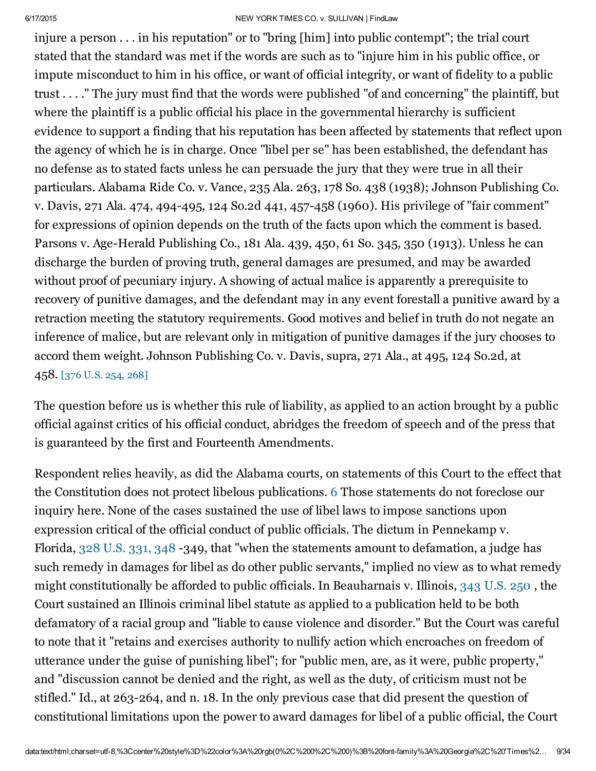injure a person . . . in his reputation" or to "bring [him] into public contempt"; the trial court stated that the standard was met if the words are such as to "injure him in his public office, or impute misconduct to him in his office, or want of official integrity, or want of fidelity to a public trust . . . ." The jury must find that the words were published "of and concerning" the plaintiff, but where the plaintiff is a public official his place in the governmental hierarchy is sufficient evidence to support a finding that his reputation has been affected by statements that reflect upon the agency of which he is in charge. Once "libel per se" has been established, the defendant has no defense as to stated facts unless he can persuade the jury that they were true in all their particulars. Alabama Ride Co. v. Vance, 235 Ala. 263, 178 So. 438 (1938); Johnson Publishing Co. v. Davis, 271 Ala. 474, 494-495, 124 So.2d 441, 457-458 (1960). His privilege of "fair comment" for expressions of opinion depends on the truth of the facts upon which the comment is based. Parsons v. Age-Herald Publishing Co., 181 Ala. 439, 450, 61 So. 345, 350 (1913). Unless he can discharge the burden of proving truth, general damages are presumed, and may be awarded without proof of pecuniary injury. A showing of actual malice is apparently a prerequisite to recovery of punitive damages, and the defendant may in any event forestall a punitive award by a retraction meeting the statutory requirements. Good motives and belief in truth do not negate an inference of malice, but are relevant only in mitigation of punitive damages if the jury chooses to accord them weight. Johnson Publishing Co. v. Davis, supra, 271 Ala., at 495, 124 So.2d, at 458. [376 U.S. 254, 268]

The question before us is whether this rule of liability, as applied to an action brought by a public official against critics of his official conduct, abridges the freedom of speech and of the press that is guaranteed by the first and Fourteenth Amendments.

Respondent relies heavily, as did the Alabama courts, on statements of this Court to the effect that the Constitution does not protect libelous publications. [6](http://caselaw.findlaw.com/us-supreme-court/376/254.html#f6) Those statements do not foreclose our inquiry here. None of the cases sustained the use of libel laws to impose sanctions upon expression critical of the official conduct of public officials. The dictum in Pennekamp v. Florida, 328 [U.S.](http://caselaw.findlaw.com/us-supreme-court/328/331.html#348) 331, 348 -349, that "when the statements amount to defamation, a judge has such remedy in damages for libel as do other public servants," implied no view as to what remedy might constitutionally be afforded to public officials. In Beauharnais v. Illinois, 343 [U.S.](http://caselaw.findlaw.com/us-supreme-court/343/250.html) 250 , the Court sustained an Illinois criminal libel statute as applied to a publication held to be both defamatory of a racial group and "liable to cause violence and disorder." But the Court was careful to note that it "retains and exercises authority to nullify action which encroaches on freedom of utterance under the guise of punishing libel"; for "public men, are, as it were, public property," and "discussion cannot be denied and the right, as well as the duty, of criticism must not be stifled." Id., at 263-264, and n. 18. In the only previous case that did present the question of constitutional limitations upon the power to award damages for libel of a public official, the Court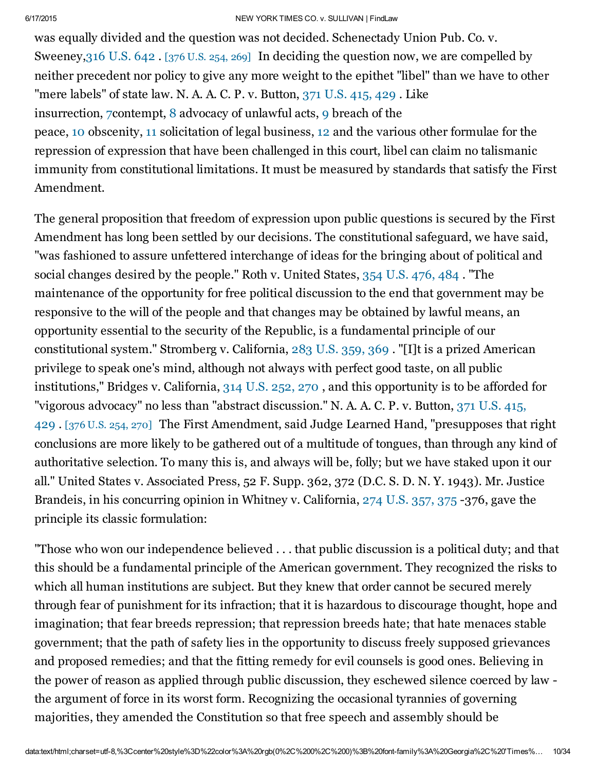was equally divided and the question was not decided. Schenectady Union Pub. Co. v. Sweeney,316 [U.S.](http://caselaw.findlaw.com/us-supreme-court/316/642.html) 642 . [376 U.S. 254, 269] In deciding the question now, we are compelled by neither precedent nor policy to give any more weight to the epithet "libel" than we have to other "mere labels" of state law. N. A. A. C. P. v. Button, 371 [U.S.](http://caselaw.findlaw.com/us-supreme-court/371/415.html#429) 415, 429 . Like insurrection, [7](http://caselaw.findlaw.com/us-supreme-court/376/254.html#f7)contempt, [8](http://caselaw.findlaw.com/us-supreme-court/376/254.html#f8) advocacy of unlawful acts, [9](http://caselaw.findlaw.com/us-supreme-court/376/254.html#f9) breach of the peace, [10](http://caselaw.findlaw.com/us-supreme-court/376/254.html#f10) obscenity, [11](http://caselaw.findlaw.com/us-supreme-court/376/254.html#f11) solicitation of legal business, [12](http://caselaw.findlaw.com/us-supreme-court/376/254.html#f12) and the various other formulae for the repression of expression that have been challenged in this court, libel can claim no talismanic immunity from constitutional limitations. It must be measured by standards that satisfy the First Amendment.

The general proposition that freedom of expression upon public questions is secured by the First Amendment has long been settled by our decisions. The constitutional safeguard, we have said, "was fashioned to assure unfettered interchange of ideas for the bringing about of political and social changes desired by the people." Roth v. United States, 354 U.S. [476,](http://caselaw.findlaw.com/us-supreme-court/354/476.html#484) 484 . "The maintenance of the opportunity for free political discussion to the end that government may be responsive to the will of the people and that changes may be obtained by lawful means, an opportunity essential to the security of the Republic, is a fundamental principle of our constitutional system." Stromberg v. California, 283 U.S. [359,](http://caselaw.findlaw.com/us-supreme-court/283/359.html#369) 369 . "[I]t is a prized American privilege to speak one's mind, although not always with perfect good taste, on all public institutions," Bridges v. California, 314 U.S. [252,](http://caselaw.findlaw.com/us-supreme-court/314/252.html#270) 270 , and this opportunity is to be afforded for "vigorous advocacy" no less than "abstract discussion." N. A. A. C. P. v. Button, 371 U.S. 415, 429 . [376 U.S. 254, 270] The First Amendment, said Judge Learned Hand, ["presupposes](http://caselaw.findlaw.com/us-supreme-court/371/415.html#429) that right conclusions are more likely to be gathered out of a multitude of tongues, than through any kind of authoritative selection. To many this is, and always will be, folly; but we have staked upon it our all." United States v. Associated Press, 52 F. Supp. 362, 372 (D.C. S. D. N. Y. 1943). Mr. Justice Brandeis, in his concurring opinion in Whitney v. California,  $274$  [U.S.](http://caselaw.findlaw.com/us-supreme-court/274/357.html#375)  $357$ ,  $375$  -376, gave the principle its classic formulation:

"Those who won our independence believed . . . that public discussion is a political duty; and that this should be a fundamental principle of the American government. They recognized the risks to which all human institutions are subject. But they knew that order cannot be secured merely through fear of punishment for its infraction; that it is hazardous to discourage thought, hope and imagination; that fear breeds repression; that repression breeds hate; that hate menaces stable government; that the path of safety lies in the opportunity to discuss freely supposed grievances and proposed remedies; and that the fitting remedy for evil counsels is good ones. Believing in the power of reason as applied through public discussion, they eschewed silence coerced by law the argument of force in its worst form. Recognizing the occasional tyrannies of governing majorities, they amended the Constitution so that free speech and assembly should be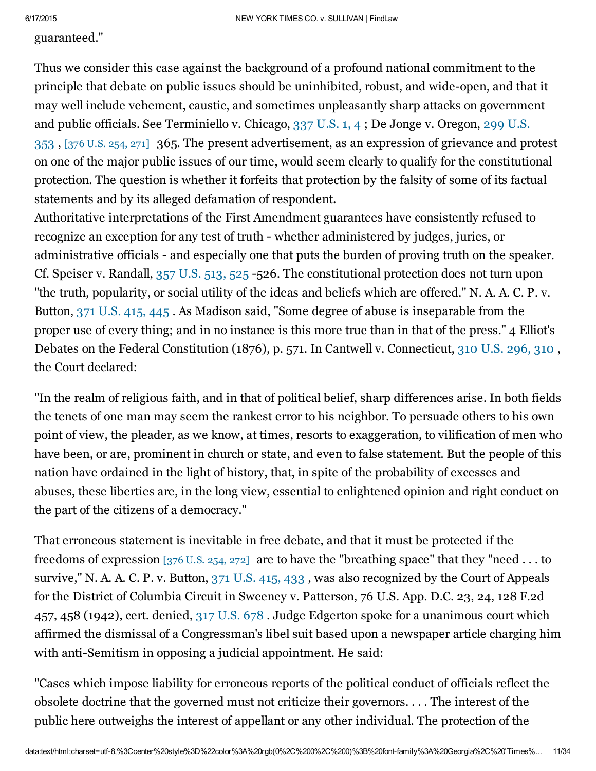## guaranteed."

Thus we consider this case against the background of a profound national commitment to the principle that debate on public issues should be uninhibited, robust, and wide-open, and that it may well include vehement, caustic, and sometimes unpleasantly sharp attacks on government and public officials. See Terminiello v. Chicago, 337 [U.S.](http://caselaw.findlaw.com/us-supreme-court/337/1.html#4) 1, 4 ; De Jonge v. Oregon, 299 U.S. 353 , [376 U.S. 254, 271] 365. The present [advertisement,](http://caselaw.findlaw.com/us-supreme-court/299/353.html) as an expression of grievance and protest on one of the major public issues of our time, would seem clearly to qualify for the constitutional protection. The question is whether it forfeits that protection by the falsity of some of its factual statements and by its alleged defamation of respondent.

Authoritative interpretations of the First Amendment guarantees have consistently refused to recognize an exception for any test of truth - whether administered by judges, juries, or administrative officials - and especially one that puts the burden of proving truth on the speaker. Cf. Speiser v. Randall,  $357$  [U.S.](http://caselaw.findlaw.com/us-supreme-court/357/513.html#525)  $513$ ,  $525$  -526. The constitutional protection does not turn upon "the truth, popularity, or social utility of the ideas and beliefs which are offered." N. A. A. C. P. v. Button, 371 [U.S.](http://caselaw.findlaw.com/us-supreme-court/371/415.html#445) 415, 445 . As Madison said, "Some degree of abuse is inseparable from the proper use of every thing; and in no instance is this more true than in that of the press." 4 Elliot's Debates on the Federal Constitution (1876), p. 571. In Cantwell v. Connecticut, 310 U.S. [296,](http://caselaw.findlaw.com/us-supreme-court/310/296.html#310) 310 , the Court declared:

"In the realm of religious faith, and in that of political belief, sharp differences arise. In both fields the tenets of one man may seem the rankest error to his neighbor. To persuade others to his own point of view, the pleader, as we know, at times, resorts to exaggeration, to vilification of men who have been, or are, prominent in church or state, and even to false statement. But the people of this nation have ordained in the light of history, that, in spite of the probability of excesses and abuses, these liberties are, in the long view, essential to enlightened opinion and right conduct on the part of the citizens of a democracy."

That erroneous statement is inevitable in free debate, and that it must be protected if the freedoms of expression  $[376 \text{ U.S. } 254, 272]$  are to have the "breathing space" that they "need ... to survive," N. A. A. C. P. v. Button, 371 [U.S.](http://caselaw.findlaw.com/us-supreme-court/371/415.html#433) 415, 433 , was also recognized by the Court of Appeals for the District of Columbia Circuit in Sweeney v. Patterson, 76 U.S. App. D.C. 23, 24, 128 F.2d 457, 458 (1942), cert. denied, 317 [U.S.](http://caselaw.findlaw.com/us-supreme-court/317/678.html) 678 . Judge Edgerton spoke for a unanimous court which affirmed the dismissal of a Congressman's libel suit based upon a newspaper article charging him with anti-Semitism in opposing a judicial appointment. He said:

"Cases which impose liability for erroneous reports of the political conduct of officials reflect the obsolete doctrine that the governed must not criticize their governors. . . . The interest of the public here outweighs the interest of appellant or any other individual. The protection of the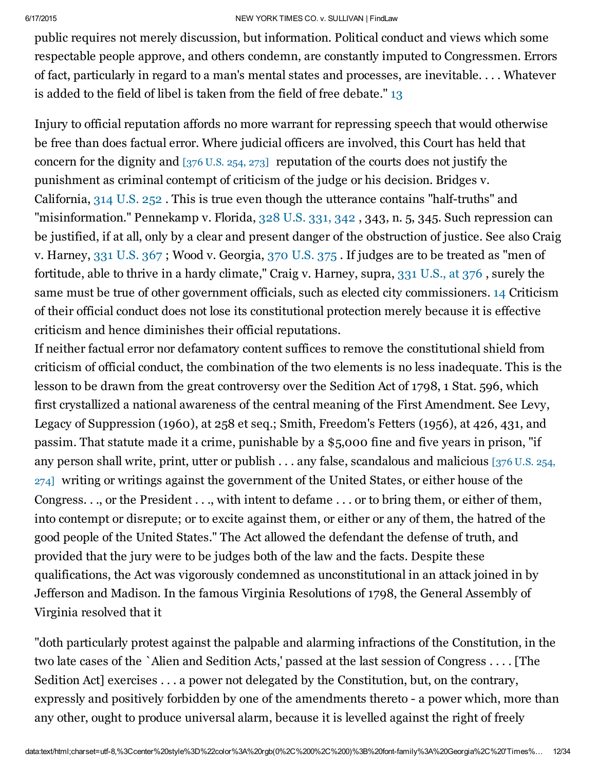public requires not merely discussion, but information. Political conduct and views which some respectable people approve, and others condemn, are constantly imputed to Congressmen. Errors of fact, particularly in regard to a man's mental states and processes, are inevitable. . . . Whatever is added to the field of libel is taken from the field of free debate." [13](http://caselaw.findlaw.com/us-supreme-court/376/254.html#f13)

Injury to official reputation affords no more warrant for repressing speech that would otherwise be free than does factual error. Where judicial officers are involved, this Court has held that concern for the dignity and [376 U.S. 254, 273] reputation of the courts does not justify the punishment as criminal contempt of criticism of the judge or his decision. Bridges v. California,  $314$  [U.S.](http://caselaw.findlaw.com/us-supreme-court/314/252.html)  $252$ . This is true even though the utterance contains "half-truths" and "misinformation." Pennekamp v. Florida, 328 [U.S.](http://caselaw.findlaw.com/us-supreme-court/328/331.html#342) 331, 342 , 343, n. 5, 345. Such repression can be justified, if at all, only by a clear and present danger of the obstruction of justice. See also Craig v. Harney, 331 [U.S.](http://caselaw.findlaw.com/us-supreme-court/331/367.html) 367 ; Wood v. Georgia, 370 [U.S.](http://caselaw.findlaw.com/us-supreme-court/370/375.html) 375 . If judges are to be treated as "men of fortitude, able to thrive in a hardy climate," Craig v. Harney, supra, 331 [U.S.,](http://caselaw.findlaw.com/us-supreme-court/331/367.html#376) at 376 , surely the same must be true of other government officials, such as elected city commissioners. [14](http://caselaw.findlaw.com/us-supreme-court/376/254.html#f14) Criticism of their official conduct does not lose its constitutional protection merely because it is effective criticism and hence diminishes their official reputations.

If neither factual error nor defamatory content suffices to remove the constitutional shield from criticism of official conduct, the combination of the two elements is no less inadequate. This is the lesson to be drawn from the great controversy over the Sedition Act of 1798, 1 Stat. 596, which first crystallized a national awareness of the central meaning of the First Amendment. See Levy, Legacy of Suppression (1960), at 258 et seq.; Smith, Freedom's Fetters (1956), at 426, 431, and passim. That statute made it a crime, punishable by a \$5,000 fine and five years in prison, "if any person shall write, print, utter or publish . . . any false, scandalous and malicious [376 U.S. 254, 274] writing or writings against the government of the United States, or either house of the Congress. . ., or the President . . ., with intent to defame . . . or to bring them, or either of them, into contempt or disrepute; or to excite against them, or either or any of them, the hatred of the good people of the United States." The Act allowed the defendant the defense of truth, and provided that the jury were to be judges both of the law and the facts. Despite these qualifications, the Act was vigorously condemned as unconstitutional in an attack joined in by Jefferson and Madison. In the famous Virginia Resolutions of 1798, the General Assembly of Virginia resolved that it

"doth particularly protest against the palpable and alarming infractions of the Constitution, in the two late cases of the `Alien and Sedition Acts,' passed at the last session of Congress . . . . [The Sedition Act] exercises . . . a power not delegated by the Constitution, but, on the contrary, expressly and positively forbidden by one of the amendments thereto - a power which, more than any other, ought to produce universal alarm, because it is levelled against the right of freely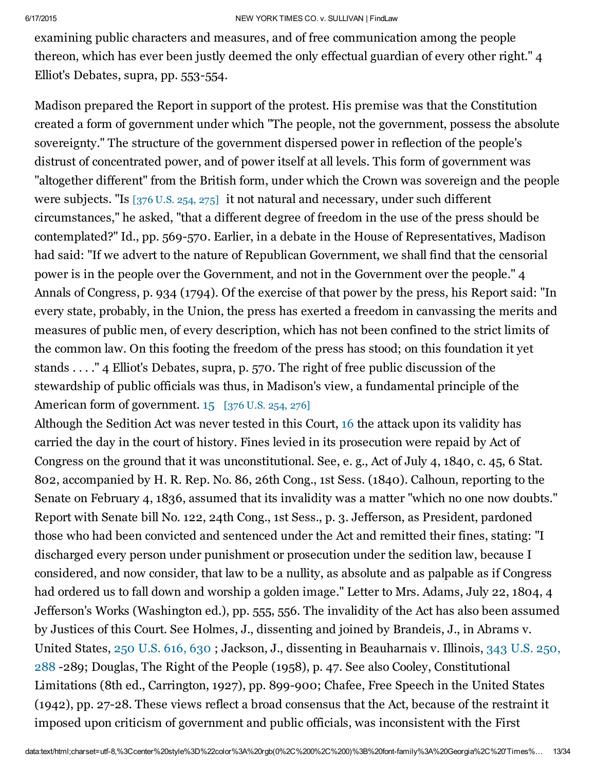examining public characters and measures, and of free communication among the people thereon, which has ever been justly deemed the only effectual guardian of every other right." 4 Elliot's Debates, supra, pp. 553-554.

Madison prepared the Report in support of the protest. His premise was that the Constitution created a form of government under which "The people, not the government, possess the absolute sovereignty." The structure of the government dispersed power in reflection of the people's distrust of concentrated power, and of power itself at all levels. This form of government was "altogether different" from the British form, under which the Crown was sovereign and the people were subjects. "Is [376 U.S. 254, 275] it not natural and necessary, under such different circumstances," he asked, "that a different degree of freedom in the use of the press should be contemplated?" Id., pp. 569-570. Earlier, in a debate in the House of Representatives, Madison had said: "If we advert to the nature of Republican Government, we shall find that the censorial power is in the people over the Government, and not in the Government over the people." 4 Annals of Congress, p. 934 (1794). Of the exercise of that power by the press, his Report said: "In every state, probably, in the Union, the press has exerted a freedom in canvassing the merits and measures of public men, of every description, which has not been confined to the strict limits of the common law. On this footing the freedom of the press has stood; on this foundation it yet stands . . . ." 4 Elliot's Debates, supra, p. 570. The right of free public discussion of the stewardship of public officials was thus, in Madison's view, a fundamental principle of the American form of government.  $15 \left[376 \text{ U.S. } 254, 276\right]$  $15 \left[376 \text{ U.S. } 254, 276\right]$ 

Although the Sedition Act was never tested in this Court, [16](http://caselaw.findlaw.com/us-supreme-court/376/254.html#f16) the attack upon its validity has carried the day in the court of history. Fines levied in its prosecution were repaid by Act of Congress on the ground that it was unconstitutional. See, e. g., Act of July 4, 1840, c. 45, 6 Stat. 802, accompanied by H. R. Rep. No. 86, 26th Cong., 1st Sess. (1840). Calhoun, reporting to the Senate on February 4, 1836, assumed that its invalidity was a matter "which no one now doubts." Report with Senate bill No. 122, 24th Cong., 1st Sess., p. 3. Jefferson, as President, pardoned those who had been convicted and sentenced under the Act and remitted their fines, stating: "I discharged every person under punishment or prosecution under the sedition law, because I considered, and now consider, that law to be a nullity, as absolute and as palpable as if Congress had ordered us to fall down and worship a golden image." Letter to Mrs. Adams, July 22, 1804, 4 Jefferson's Works (Washington ed.), pp. 555, 556. The invalidity of the Act has also been assumed by Justices of this Court. See Holmes, J., dissenting and joined by Brandeis, J., in Abrams v. United States, 250 [U.S.](http://caselaw.findlaw.com/us-supreme-court/250/616.html#630) 616, 630 ; Jackson, J., dissenting in Beauharnais v. Illinois, 343 U.S. 250, 288 289; Douglas, The Right of the People (1958), p. 47. See also Cooley, [Constitutional](http://caselaw.findlaw.com/us-supreme-court/343/250.html#288) Limitations (8th ed., Carrington, 1927), pp. 899-900; Chafee, Free Speech in the United States (1942), pp. 2728. These views reflect a broad consensus that the Act, because of the restraint it imposed upon criticism of government and public officials, was inconsistent with the First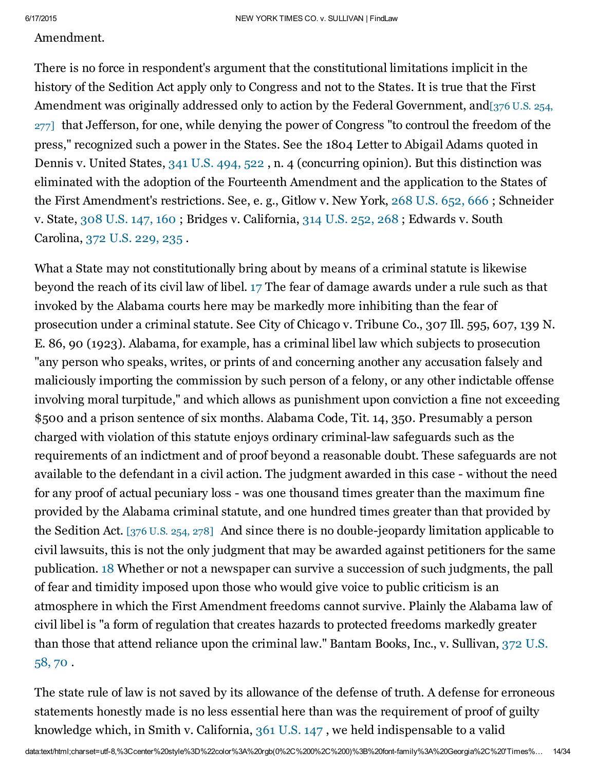## Amendment.

There is no force in respondent's argument that the constitutional limitations implicit in the history of the Sedition Act apply only to Congress and not to the States. It is true that the First Amendment was originally addressed only to action by the Federal Government, and  $\frac{376 \text{ U.S. } 254}{376 \text{ U.S. } 254}$ 277] that Jefferson, for one, while denying the power of Congress "to controul the freedom of the press," recognized such a power in the States. See the 1804 Letter to Abigail Adams quoted in Dennis v. United States, 341 U.S. [494,](http://caselaw.findlaw.com/us-supreme-court/341/494.html#522) 522 , n. 4 (concurring opinion). But this distinction was eliminated with the adoption of the Fourteenth Amendment and the application to the States of the First Amendment's restrictions. See, e. g., Gitlow v. New York, 268 U.S. [652,](http://caselaw.findlaw.com/us-supreme-court/268/652.html#666) 666 ; Schneider v. State, 308 [U.S.](http://caselaw.findlaw.com/us-supreme-court/308/147.html#160) 147, 160 ; Bridges v. California, 314 U.S. [252,](http://caselaw.findlaw.com/us-supreme-court/314/252.html#268) 268 ; Edwards v. South Carolina, 372 U.S. [229,](http://caselaw.findlaw.com/us-supreme-court/372/229.html#235) 235 .

What a State may not constitutionally bring about by means of a criminal statute is likewise beyond the reach of its civil law of libel. [17](http://caselaw.findlaw.com/us-supreme-court/376/254.html#f17) The fear of damage awards under a rule such as that invoked by the Alabama courts here may be markedly more inhibiting than the fear of prosecution under a criminal statute. See City of Chicago v. Tribune Co., 307 Ill. 595, 607, 139 N. E. 86, 90 (1923). Alabama, for example, has a criminal libel law which subjects to prosecution "any person who speaks, writes, or prints of and concerning another any accusation falsely and maliciously importing the commission by such person of a felony, or any other indictable offense involving moral turpitude," and which allows as punishment upon conviction a fine not exceeding \$500 and a prison sentence of six months. Alabama Code, Tit. 14, 350. Presumably a person charged with violation of this statute enjoys ordinary criminal-law safeguards such as the requirements of an indictment and of proof beyond a reasonable doubt. These safeguards are not available to the defendant in a civil action. The judgment awarded in this case - without the need for any proof of actual pecuniary loss - was one thousand times greater than the maximum fine provided by the Alabama criminal statute, and one hundred times greater than that provided by the Sedition Act.  $[376 \text{ U.S. } 254, 278]$  And since there is no double-jeopardy limitation applicable to civil lawsuits, this is not the only judgment that may be awarded against petitioners for the same publication. [18](http://caselaw.findlaw.com/us-supreme-court/376/254.html#f18) Whether or not a newspaper can survive a succession of such judgments, the pall of fear and timidity imposed upon those who would give voice to public criticism is an atmosphere in which the First Amendment freedoms cannot survive. Plainly the Alabama law of civil libel is "a form of regulation that creates hazards to protected freedoms markedly greater than those that attend reliance upon the criminal law." Bantam Books, Inc., v. [Sullivan,](http://caselaw.findlaw.com/us-supreme-court/372/58.html#70) 372 U.S. 58, 70 .

The state rule of law is not saved by its allowance of the defense of truth. A defense for erroneous statements honestly made is no less essential here than was the requirement of proof of guilty knowledge which, in Smith v. California, 361 [U.S.](http://caselaw.findlaw.com/us-supreme-court/361/147.html) 147 , we held indispensable to a valid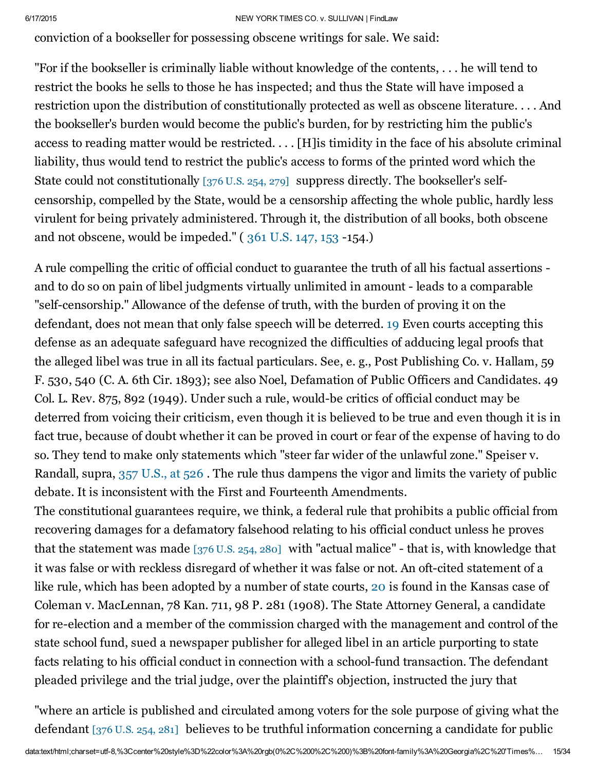conviction of a bookseller for possessing obscene writings for sale. We said:

"For if the bookseller is criminally liable without knowledge of the contents, . . . he will tend to restrict the books he sells to those he has inspected; and thus the State will have imposed a restriction upon the distribution of constitutionally protected as well as obscene literature. . . . And the bookseller's burden would become the public's burden, for by restricting him the public's access to reading matter would be restricted. . . . [H]is timidity in the face of his absolute criminal liability, thus would tend to restrict the public's access to forms of the printed word which the State could not constitutionally [376 U.S. 254, 279] suppress directly. The bookseller's selfcensorship, compelled by the State, would be a censorship affecting the whole public, hardly less virulent for being privately administered. Through it, the distribution of all books, both obscene and not obscene, would be impeded."  $(361$  [U.S.](http://caselaw.findlaw.com/us-supreme-court/361/147.html#153)  $147, 153$  -154.)

A rule compelling the critic of official conduct to guarantee the truth of all his factual assertions and to do so on pain of libel judgments virtually unlimited in amount - leads to a comparable "self-censorship." Allowance of the defense of truth, with the burden of proving it on the defendant, does not mean that only false speech will be deterred. [19](http://caselaw.findlaw.com/us-supreme-court/376/254.html#f19) Even courts accepting this defense as an adequate safeguard have recognized the difficulties of adducing legal proofs that the alleged libel was true in all its factual particulars. See, e. g., Post Publishing Co. v. Hallam, 59 F. 530, 540 (C. A. 6th Cir. 1893); see also Noel, Defamation of Public Officers and Candidates. 49 Col. L. Rev. 875, 892 (1949). Under such a rule, would-be critics of official conduct may be deterred from voicing their criticism, even though it is believed to be true and even though it is in fact true, because of doubt whether it can be proved in court or fear of the expense of having to do so. They tend to make only statements which "steer far wider of the unlawful zone." Speiser v. Randall, supra, 357 [U.S.,](http://caselaw.findlaw.com/us-supreme-court/357/513.html#526) at 526 . The rule thus dampens the vigor and limits the variety of public debate. It is inconsistent with the First and Fourteenth Amendments.

The constitutional guarantees require, we think, a federal rule that prohibits a public official from recovering damages for a defamatory falsehood relating to his official conduct unless he proves that the statement was made  $\left[376 \text{ U.S. } 254, 280\right]$  with "actual malice" - that is, with knowledge that it was false or with reckless disregard of whether it was false or not. An oft-cited statement of a like rule, which has been adopted by a number of state courts, [20](http://caselaw.findlaw.com/us-supreme-court/376/254.html#f20) is found in the Kansas case of Coleman v. MacLennan, 78 Kan. 711, 98 P. 281 (1908). The State Attorney General, a candidate for re-election and a member of the commission charged with the management and control of the state school fund, sued a newspaper publisher for alleged libel in an article purporting to state facts relating to his official conduct in connection with a school-fund transaction. The defendant pleaded privilege and the trial judge, over the plaintiff's objection, instructed the jury that

"where an article is published and circulated among voters for the sole purpose of giving what the defendant [376 U.S. 254, 281] believes to be truthful information concerning a candidate for public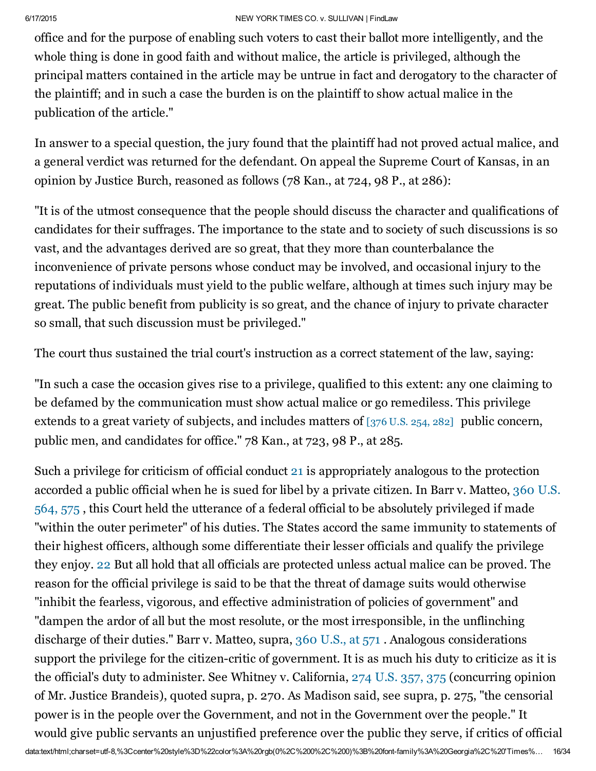office and for the purpose of enabling such voters to cast their ballot more intelligently, and the whole thing is done in good faith and without malice, the article is privileged, although the principal matters contained in the article may be untrue in fact and derogatory to the character of the plaintiff; and in such a case the burden is on the plaintiff to show actual malice in the publication of the article."

In answer to a special question, the jury found that the plaintiff had not proved actual malice, and a general verdict was returned for the defendant. On appeal the Supreme Court of Kansas, in an opinion by Justice Burch, reasoned as follows (78 Kan., at 724, 98 P., at 286):

"It is of the utmost consequence that the people should discuss the character and qualifications of candidates for their suffrages. The importance to the state and to society of such discussions is so vast, and the advantages derived are so great, that they more than counterbalance the inconvenience of private persons whose conduct may be involved, and occasional injury to the reputations of individuals must yield to the public welfare, although at times such injury may be great. The public benefit from publicity is so great, and the chance of injury to private character so small, that such discussion must be privileged."

The court thus sustained the trial court's instruction as a correct statement of the law, saying:

"In such a case the occasion gives rise to a privilege, qualified to this extent: any one claiming to be defamed by the communication must show actual malice or go remediless. This privilege extends to a great variety of subjects, and includes matters of [376 U.S. 254, 282] public concern, public men, and candidates for office." 78 Kan., at 723, 98 P., at 285.

Such a privilege for criticism of official conduct [21](http://caselaw.findlaw.com/us-supreme-court/376/254.html#f21) is appropriately analogous to the protection accorded a public official when he is sued for libel by a private citizen. In Barr v. Matteo, 360 U.S. 564, 575 , this Court held the utterance of a federal official to be absolutely [privileged](http://caselaw.findlaw.com/us-supreme-court/360/564.html#575) if made "within the outer perimeter" of his duties. The States accord the same immunity to statements of their highest officers, although some differentiate their lesser officials and qualify the privilege they enjoy. [22](http://caselaw.findlaw.com/us-supreme-court/376/254.html#f22) But all hold that all officials are protected unless actual malice can be proved. The reason for the official privilege is said to be that the threat of damage suits would otherwise "inhibit the fearless, vigorous, and effective administration of policies of government" and "dampen the ardor of all but the most resolute, or the most irresponsible, in the unflinching discharge of their duties." Barr v. Matteo, supra, 360 [U.S.,](http://caselaw.findlaw.com/us-supreme-court/360/564.html#571) at 571. Analogous considerations support the privilege for the citizen-critic of government. It is as much his duty to criticize as it is the official's duty to administer. See Whitney v. California, 274 [U.S.](http://caselaw.findlaw.com/us-supreme-court/274/357.html#375) 357, 375 (concurring opinion of Mr. Justice Brandeis), quoted supra, p. 270. As Madison said, see supra, p. 275, "the censorial power is in the people over the Government, and not in the Government over the people." It would give public servants an unjustified preference over the public they serve, if critics of official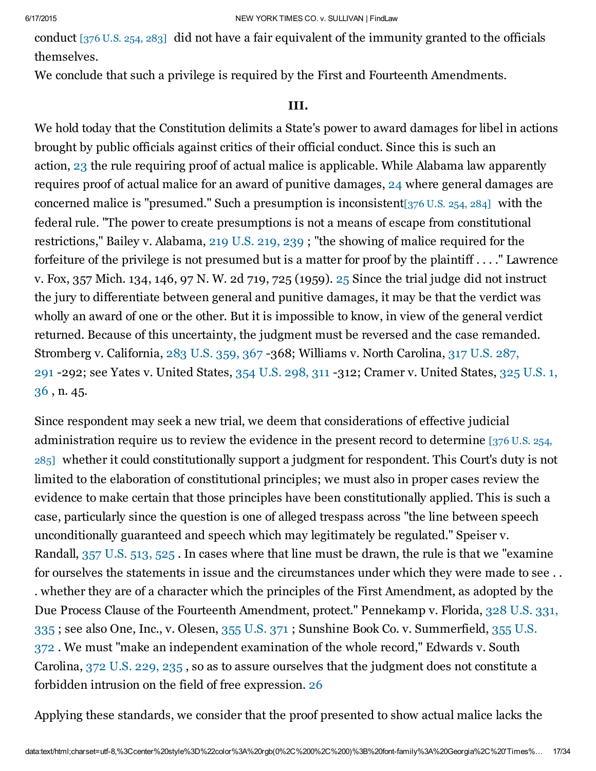conduct  $[376 \text{ U.S. } 254, 283]$  did not have a fair equivalent of the immunity granted to the officials themselves.

We conclude that such a privilege is required by the First and Fourteenth Amendments.

## III.

We hold today that the Constitution delimits a State's power to award damages for libel in actions brought by public officials against critics of their official conduct. Since this is such an action, [23](http://caselaw.findlaw.com/us-supreme-court/376/254.html#f23) the rule requiring proof of actual malice is applicable. While Alabama law apparently requires proof of actual malice for an award of punitive damages, [24](http://caselaw.findlaw.com/us-supreme-court/376/254.html#f24) where general damages are concerned malice is "presumed." Such a presumption is inconsistent[376 U.S. 254, 284] with the federal rule. "The power to create presumptions is not a means of escape from constitutional restrictions," Bailey v. Alabama, 219 U.S. [219,](http://caselaw.findlaw.com/us-supreme-court/219/219.html#239) 239 ; "the showing of malice required for the forfeiture of the privilege is not presumed but is a matter for proof by the plaintiff . . . ." Lawrence v. Fox, 357 Mich. 134, 146, 97 N. W. 2d 719, 725 (1959). [25](http://caselaw.findlaw.com/us-supreme-court/376/254.html#f25) Since the trial judge did not instruct the jury to differentiate between general and punitive damages, it may be that the verdict was wholly an award of one or the other. But it is impossible to know, in view of the general verdict returned. Because of this uncertainty, the judgment must be reversed and the case remanded. [Stromberg](http://caselaw.findlaw.com/us-supreme-court/317/287.html#291) v. California, 283 U.S. [359,](http://caselaw.findlaw.com/us-supreme-court/283/359.html#367) 367 -368; Williams v. North Carolina, 317 U.S. 287, 291 -292; see Yates v. United States, 354 U.S. [298,](http://caselaw.findlaw.com/us-supreme-court/354/298.html#311) 311 -312; [Cramer](http://caselaw.findlaw.com/us-supreme-court/325/1.html#36) v. United States, 325 U.S. 1, 36 , n. 45.

Since respondent may seek a new trial, we deem that considerations of effective judicial administration require us to review the evidence in the present record to determine [376 U.S. 254, 285] whether it could constitutionally support a judgment for respondent. This Court's duty is not limited to the elaboration of constitutional principles; we must also in proper cases review the evidence to make certain that those principles have been constitutionally applied. This is such a case, particularly since the question is one of alleged trespass across "the line between speech unconditionally guaranteed and speech which may legitimately be regulated." Speiser v. Randall, 357 [U.S.](http://caselaw.findlaw.com/us-supreme-court/357/513.html#525) 513, 525 . In cases where that line must be drawn, the rule is that we "examine for ourselves the statements in issue and the circumstances under which they were made to see . . . whether they are of a character which the principles of the First Amendment, as adopted by the Due Process Clause of the Fourteenth Amendment, protect." Pennekamp v. Florida, 328 U.S. 331, 335 ; see also One, Inc., v. Olesen, 355 [U.S.](http://caselaw.findlaw.com/us-supreme-court/355/371.html) 371 ; Sunshine Book Co. v. [Summerfield,](http://caselaw.findlaw.com/us-supreme-court/355/372.html) 355 U.S. 372 . We must "make an independent examination of the whole record," Edwards v. South Carolina, 372 U.S. [229,](http://caselaw.findlaw.com/us-supreme-court/372/229.html#235) 235 , so as to assure ourselves that the judgment does not constitute a forbidden intrusion on the field of free expression. [26](http://caselaw.findlaw.com/us-supreme-court/376/254.html#f26)

Applying these standards, we consider that the proof presented to show actual malice lacks the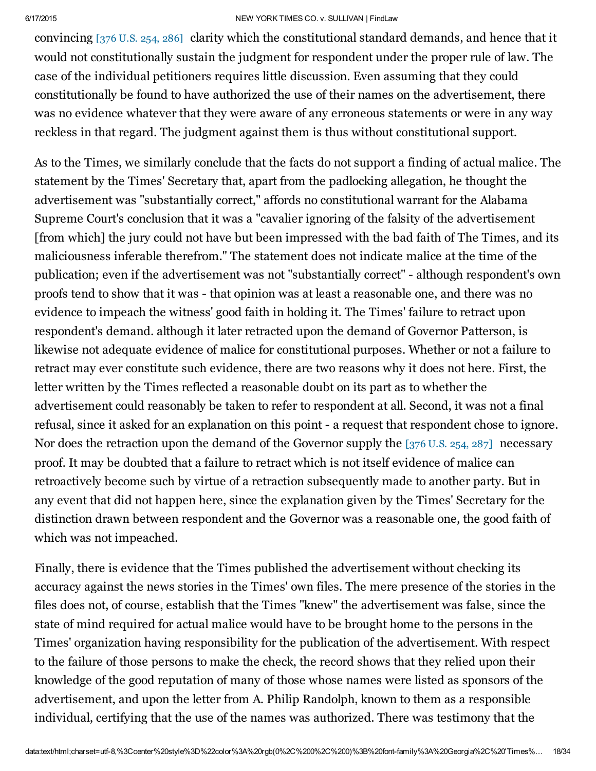convincing [376 U.S. 254, 286] clarity which the constitutional standard demands, and hence that it would not constitutionally sustain the judgment for respondent under the proper rule of law. The case of the individual petitioners requires little discussion. Even assuming that they could constitutionally be found to have authorized the use of their names on the advertisement, there was no evidence whatever that they were aware of any erroneous statements or were in any way reckless in that regard. The judgment against them is thus without constitutional support.

As to the Times, we similarly conclude that the facts do not support a finding of actual malice. The statement by the Times' Secretary that, apart from the padlocking allegation, he thought the advertisement was "substantially correct," affords no constitutional warrant for the Alabama Supreme Court's conclusion that it was a "cavalier ignoring of the falsity of the advertisement [from which] the jury could not have but been impressed with the bad faith of The Times, and its maliciousness inferable therefrom." The statement does not indicate malice at the time of the publication; even if the advertisement was not "substantially correct" although respondent's own proofs tend to show that it was - that opinion was at least a reasonable one, and there was no evidence to impeach the witness' good faith in holding it. The Times' failure to retract upon respondent's demand. although it later retracted upon the demand of Governor Patterson, is likewise not adequate evidence of malice for constitutional purposes. Whether or not a failure to retract may ever constitute such evidence, there are two reasons why it does not here. First, the letter written by the Times reflected a reasonable doubt on its part as to whether the advertisement could reasonably be taken to refer to respondent at all. Second, it was not a final refusal, since it asked for an explanation on this point - a request that respondent chose to ignore. Nor does the retraction upon the demand of the Governor supply the [376 U.S. 254, 287] necessary proof. It may be doubted that a failure to retract which is not itself evidence of malice can retroactively become such by virtue of a retraction subsequently made to another party. But in any event that did not happen here, since the explanation given by the Times' Secretary for the distinction drawn between respondent and the Governor was a reasonable one, the good faith of which was not impeached.

Finally, there is evidence that the Times published the advertisement without checking its accuracy against the news stories in the Times' own files. The mere presence of the stories in the files does not, of course, establish that the Times "knew" the advertisement was false, since the state of mind required for actual malice would have to be brought home to the persons in the Times' organization having responsibility for the publication of the advertisement. With respect to the failure of those persons to make the check, the record shows that they relied upon their knowledge of the good reputation of many of those whose names were listed as sponsors of the advertisement, and upon the letter from A. Philip Randolph, known to them as a responsible individual, certifying that the use of the names was authorized. There was testimony that the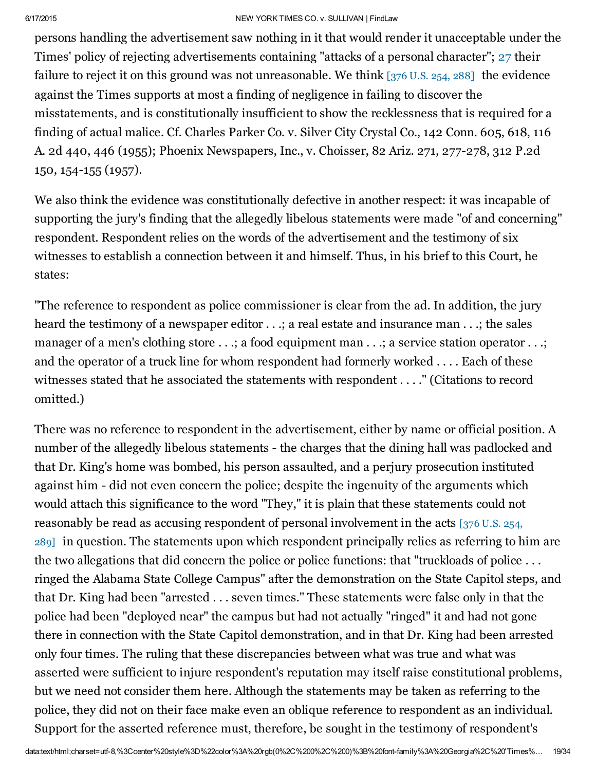persons handling the advertisement saw nothing in it that would render it unacceptable under the Times' policy of rejecting advertisements containing "attacks of a personal character"; [27](http://caselaw.findlaw.com/us-supreme-court/376/254.html#f27) their failure to reject it on this ground was not unreasonable. We think [376 U.S. 254, 288] the evidence against the Times supports at most a finding of negligence in failing to discover the misstatements, and is constitutionally insufficient to show the recklessness that is required for a finding of actual malice. Cf. Charles Parker Co. v. Silver City Crystal Co., 142 Conn. 605, 618, 116 A. 2d 440, 446 (1955); Phoenix Newspapers, Inc., v. Choisser, 82 Ariz. 271, 277-278, 312 P.2d 150, 154-155 (1957).

We also think the evidence was constitutionally defective in another respect: it was incapable of supporting the jury's finding that the allegedly libelous statements were made "of and concerning" respondent. Respondent relies on the words of the advertisement and the testimony of six witnesses to establish a connection between it and himself. Thus, in his brief to this Court, he states:

"The reference to respondent as police commissioner is clear from the ad. In addition, the jury heard the testimony of a newspaper editor . . .; a real estate and insurance man . . .; the sales manager of a men's clothing store . . .; a food equipment man . . .; a service station operator . . .; and the operator of a truck line for whom respondent had formerly worked . . . . Each of these witnesses stated that he associated the statements with respondent . . . ." (Citations to record omitted.)

There was no reference to respondent in the advertisement, either by name or official position. A number of the allegedly libelous statements - the charges that the dining hall was padlocked and that Dr. King's home was bombed, his person assaulted, and a perjury prosecution instituted against him - did not even concern the police; despite the ingenuity of the arguments which would attach this significance to the word "They," it is plain that these statements could not reasonably be read as accusing respondent of personal involvement in the acts [376 U.S. 254, 289] in question. The statements upon which respondent principally relies as referring to him are the two allegations that did concern the police or police functions: that "truckloads of police . . . ringed the Alabama State College Campus" after the demonstration on the State Capitol steps, and that Dr. King had been "arrested . . . seven times." These statements were false only in that the police had been "deployed near" the campus but had not actually "ringed" it and had not gone there in connection with the State Capitol demonstration, and in that Dr. King had been arrested only four times. The ruling that these discrepancies between what was true and what was asserted were sufficient to injure respondent's reputation may itself raise constitutional problems, but we need not consider them here. Although the statements may be taken as referring to the police, they did not on their face make even an oblique reference to respondent as an individual. Support for the asserted reference must, therefore, be sought in the testimony of respondent's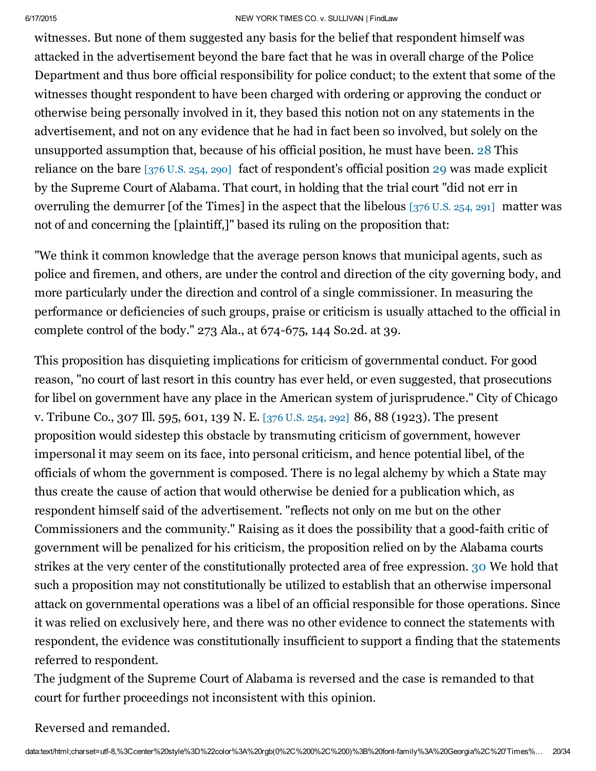witnesses. But none of them suggested any basis for the belief that respondent himself was attacked in the advertisement beyond the bare fact that he was in overall charge of the Police Department and thus bore official responsibility for police conduct; to the extent that some of the witnesses thought respondent to have been charged with ordering or approving the conduct or otherwise being personally involved in it, they based this notion not on any statements in the advertisement, and not on any evidence that he had in fact been so involved, but solely on the unsupported assumption that, because of his official position, he must have been. [28](http://caselaw.findlaw.com/us-supreme-court/376/254.html#f28) This reliance on the bare [376 U.S. 254, 290] fact of respondent's official position [29](http://caselaw.findlaw.com/us-supreme-court/376/254.html#f29) was made explicit by the Supreme Court of Alabama. That court, in holding that the trial court "did not err in overruling the demurrer [of the Times] in the aspect that the libelous [376 U.S. 254, 291] matter was not of and concerning the [plaintiff,]" based its ruling on the proposition that:

"We think it common knowledge that the average person knows that municipal agents, such as police and firemen, and others, are under the control and direction of the city governing body, and more particularly under the direction and control of a single commissioner. In measuring the performance or deficiencies of such groups, praise or criticism is usually attached to the official in complete control of the body."  $273$  Ala., at  $674-675$ ,  $144$  So.2d. at 39.

This proposition has disquieting implications for criticism of governmental conduct. For good reason, "no court of last resort in this country has ever held, or even suggested, that prosecutions for libel on government have any place in the American system of jurisprudence." City of Chicago v. Tribune Co., 307 Ill. 595, 601, 139 N. E. [376 U.S. 254, 292] 86, 88 (1923). The present proposition would sidestep this obstacle by transmuting criticism of government, however impersonal it may seem on its face, into personal criticism, and hence potential libel, of the officials of whom the government is composed. There is no legal alchemy by which a State may thus create the cause of action that would otherwise be denied for a publication which, as respondent himself said of the advertisement. "reflects not only on me but on the other Commissioners and the community." Raising as it does the possibility that a good-faith critic of government will be penalized for his criticism, the proposition relied on by the Alabama courts strikes at the very center of the constitutionally protected area of free expression. [30](http://caselaw.findlaw.com/us-supreme-court/376/254.html#f30) We hold that such a proposition may not constitutionally be utilized to establish that an otherwise impersonal attack on governmental operations was a libel of an official responsible for those operations. Since it was relied on exclusively here, and there was no other evidence to connect the statements with respondent, the evidence was constitutionally insufficient to support a finding that the statements referred to respondent.

The judgment of the Supreme Court of Alabama is reversed and the case is remanded to that court for further proceedings not inconsistent with this opinion.

## Reversed and remanded.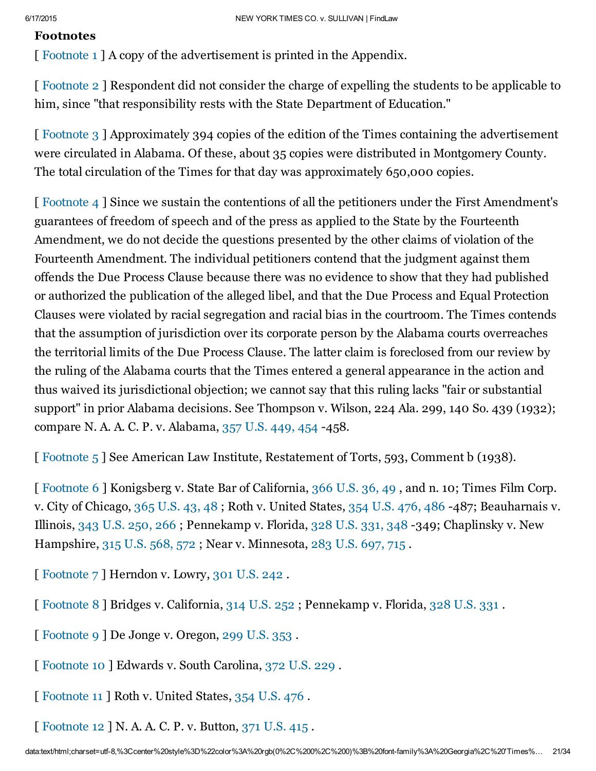## Footnotes

[ [Footnote](http://caselaw.findlaw.com/us-supreme-court/376/254.html#t1) 1 ] A copy of the advertisement is printed in the Appendix.

[ [Footnote](http://caselaw.findlaw.com/us-supreme-court/376/254.html#t2) 2 ] Respondent did not consider the charge of expelling the students to be applicable to him, since "that responsibility rests with the State Department of Education."

[ [Footnote](http://caselaw.findlaw.com/us-supreme-court/376/254.html#t3) 3 ] Approximately 394 copies of the edition of the Times containing the advertisement were circulated in Alabama. Of these, about 35 copies were distributed in Montgomery County. The total circulation of the Times for that day was approximately 650,000 copies.

[ [Footnote](http://caselaw.findlaw.com/us-supreme-court/376/254.html#t4) 4 ] Since we sustain the contentions of all the petitioners under the First Amendment's guarantees of freedom of speech and of the press as applied to the State by the Fourteenth Amendment, we do not decide the questions presented by the other claims of violation of the Fourteenth Amendment. The individual petitioners contend that the judgment against them offends the Due Process Clause because there was no evidence to show that they had published or authorized the publication of the alleged libel, and that the Due Process and Equal Protection Clauses were violated by racial segregation and racial bias in the courtroom. The Times contends that the assumption of jurisdiction over its corporate person by the Alabama courts overreaches the territorial limits of the Due Process Clause. The latter claim is foreclosed from our review by the ruling of the Alabama courts that the Times entered a general appearance in the action and thus waived its jurisdictional objection; we cannot say that this ruling lacks "fair or substantial support" in prior Alabama decisions. See Thompson v. Wilson, 224 Ala. 299, 140 So. 439 (1932); compare N. A. A. C. P. v. Alabama, 357 U.S. [449,](http://caselaw.findlaw.com/us-supreme-court/357/449.html#454) 454 -458.

[ [Footnote](http://caselaw.findlaw.com/us-supreme-court/376/254.html#t5) 5 ] See American Law Institute, Restatement of Torts, 593, Comment b (1938).

[ [Footnote](http://caselaw.findlaw.com/us-supreme-court/376/254.html#t6) 6 ] Konigsberg v. State Bar of California, 366 [U.S.](http://caselaw.findlaw.com/us-supreme-court/366/36.html#49) 36, 49 , and n. 10; Times Film Corp. v. City of Chicago, 365 [U.S.](http://caselaw.findlaw.com/us-supreme-court/365/43.html#48) 43, 48 ; Roth v. United States, 354 U.S. [476,](http://caselaw.findlaw.com/us-supreme-court/354/476.html#486) 486 487; Beauharnais v. Illinois, 343 U.S. [250,](http://caselaw.findlaw.com/us-supreme-court/343/250.html#266) 266; Pennekamp v. Florida, 328 U.S. [331,](http://caselaw.findlaw.com/us-supreme-court/328/331.html#348) 348 -349; Chaplinsky v. New Hampshire, 315 U.S. [568,](http://caselaw.findlaw.com/us-supreme-court/315/568.html#572) 572 ; Near v. Minnesota, 283 U.S. [697,](http://caselaw.findlaw.com/us-supreme-court/283/697.html#715) 715 .

[ [Footnote](http://caselaw.findlaw.com/us-supreme-court/376/254.html#t7) 7 ] Herndon v. Lowry, 301 [U.S.](http://caselaw.findlaw.com/us-supreme-court/301/242.html) 242 .

[ [Footnote](http://caselaw.findlaw.com/us-supreme-court/376/254.html#t8) 8 ] Bridges v. California, 314 [U.S.](http://caselaw.findlaw.com/us-supreme-court/328/331.html) 252; Pennekamp v. Florida, 328 U.S. 331.

[ [Footnote](http://caselaw.findlaw.com/us-supreme-court/376/254.html#t9) 9 ] De Jonge v. Oregon, 299 [U.S.](http://caselaw.findlaw.com/us-supreme-court/299/353.html) 353 .

[ [Footnote](http://caselaw.findlaw.com/us-supreme-court/376/254.html#t10) 10 ] Edwards v. South Carolina, 372 [U.S.](http://caselaw.findlaw.com/us-supreme-court/372/229.html) 229.

[ [Footnote](http://caselaw.findlaw.com/us-supreme-court/376/254.html#t11) 11 ] Roth v. United States, 354 [U.S.](http://caselaw.findlaw.com/us-supreme-court/354/476.html) 476.

[ [Footnote](http://caselaw.findlaw.com/us-supreme-court/376/254.html#t12) 12 ] N. A. A. C. P. v. Button, 371 [U.S.](http://caselaw.findlaw.com/us-supreme-court/371/415.html) 415 .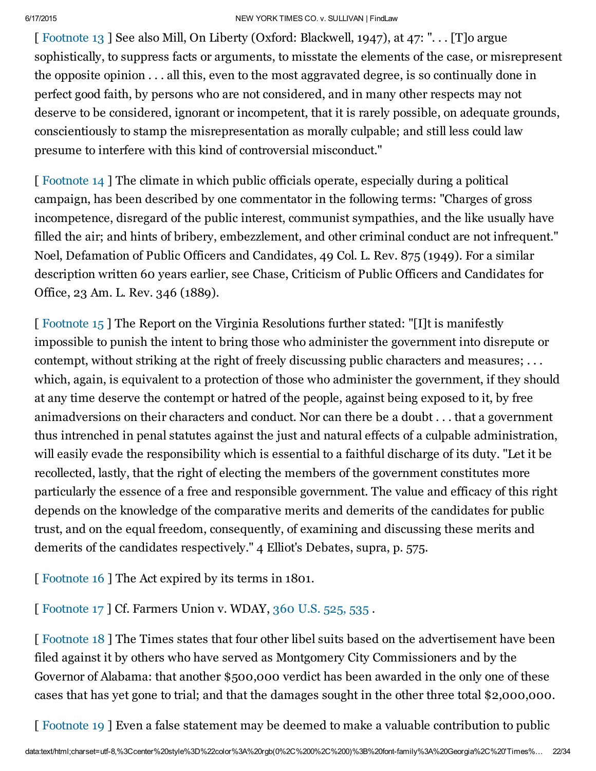[ [Footnote](http://caselaw.findlaw.com/us-supreme-court/376/254.html#t13) 13 ] See also Mill, On Liberty (Oxford: Blackwell, 1947), at 47: ". . . [T]o argue sophistically, to suppress facts or arguments, to misstate the elements of the case, or misrepresent the opposite opinion . . . all this, even to the most aggravated degree, is so continually done in perfect good faith, by persons who are not considered, and in many other respects may not deserve to be considered, ignorant or incompetent, that it is rarely possible, on adequate grounds, conscientiously to stamp the misrepresentation as morally culpable; and still less could law presume to interfere with this kind of controversial misconduct."

[ [Footnote](http://caselaw.findlaw.com/us-supreme-court/376/254.html#t14) 14 ] The climate in which public officials operate, especially during a political campaign, has been described by one commentator in the following terms: "Charges of gross incompetence, disregard of the public interest, communist sympathies, and the like usually have filled the air; and hints of bribery, embezzlement, and other criminal conduct are not infrequent." Noel, Defamation of Public Officers and Candidates, 49 Col. L. Rev. 875 (1949). For a similar description written 60 years earlier, see Chase, Criticism of Public Officers and Candidates for Office, 23 Am. L. Rev. 346 (1889).

[ [Footnote](http://caselaw.findlaw.com/us-supreme-court/376/254.html#t15) 15 ] The Report on the Virginia Resolutions further stated: "[I]t is manifestly impossible to punish the intent to bring those who administer the government into disrepute or contempt, without striking at the right of freely discussing public characters and measures; . . . which, again, is equivalent to a protection of those who administer the government, if they should at any time deserve the contempt or hatred of the people, against being exposed to it, by free animadversions on their characters and conduct. Nor can there be a doubt . . . that a government thus intrenched in penal statutes against the just and natural effects of a culpable administration, will easily evade the responsibility which is essential to a faithful discharge of its duty. "Let it be recollected, lastly, that the right of electing the members of the government constitutes more particularly the essence of a free and responsible government. The value and efficacy of this right depends on the knowledge of the comparative merits and demerits of the candidates for public trust, and on the equal freedom, consequently, of examining and discussing these merits and demerits of the candidates respectively." 4 Elliot's Debates, supra, p. 575.

[ [Footnote](http://caselaw.findlaw.com/us-supreme-court/376/254.html#t16) 16 ] The Act expired by its terms in 1801.

[ [Footnote](http://caselaw.findlaw.com/us-supreme-court/376/254.html#t17) 17 ] Cf. Farmers Union v. WDAY, 360 [U.S.](http://caselaw.findlaw.com/us-supreme-court/360/525.html#535) 525, 535 .

[ [Footnote](http://caselaw.findlaw.com/us-supreme-court/376/254.html#t18) 18 ] The Times states that four other libel suits based on the advertisement have been filed against it by others who have served as Montgomery City Commissioners and by the Governor of Alabama: that another \$500,000 verdict has been awarded in the only one of these cases that has yet gone to trial; and that the damages sought in the other three total \$2,000,000.

[ [Footnote](http://caselaw.findlaw.com/us-supreme-court/376/254.html#t19) 19 ] Even a false statement may be deemed to make a valuable contribution to public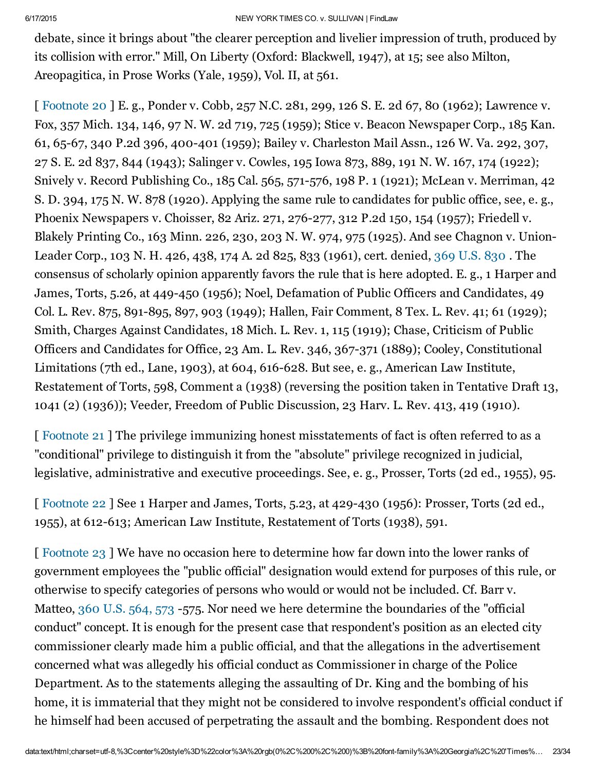debate, since it brings about "the clearer perception and livelier impression of truth, produced by its collision with error." Mill, On Liberty (Oxford: Blackwell, 1947), at 15; see also Milton, Areopagitica, in Prose Works (Yale, 1959), Vol. II, at 561.

[ [Footnote](http://caselaw.findlaw.com/us-supreme-court/376/254.html#t20) 20 ] E. g., Ponder v. Cobb, 257 N.C. 281, 299, 126 S. E. 2d 67, 80 (1962); Lawrence v. Fox, 357 Mich. 134, 146, 97 N. W. 2d 719, 725 (1959); Stice v. Beacon Newspaper Corp., 185 Kan. 61, 65-67, 340 P.2d 396, 400-401 (1959); Bailey v. Charleston Mail Assn., 126 W. Va. 292, 307, 27 S. E. 2d 837, 844 (1943); Salinger v. Cowles, 195 Iowa 873, 889, 191 N. W. 167, 174 (1922); Snively v. Record Publishing Co., 185 Cal. 565, 571-576, 198 P. 1 (1921); McLean v. Merriman, 42 S. D. 394, 175 N. W. 878 (1920). Applying the same rule to candidates for public office, see, e. g., Phoenix Newspapers v. Choisser, 82 Ariz. 271, 276-277, 312 P.2d 150, 154 (1957); Friedell v. Blakely Printing Co., 163 Minn. 226, 230, 203 N. W. 974, 975 (1925). And see Chagnon v. Union-Leader Corp., 103 N. H. 426, 438, 174 A. 2d 825, 833 (1961), cert. denied, 369 [U.S.](http://caselaw.findlaw.com/us-supreme-court/369/830.html) 830 . The consensus of scholarly opinion apparently favors the rule that is here adopted. E. g., 1 Harper and James, Torts, 5.26, at 449-450 (1956); Noel, Defamation of Public Officers and Candidates, 49 Col. L. Rev. 875, 891-895, 897, 903 (1949); Hallen, Fair Comment, 8 Tex. L. Rev. 41; 61 (1929); Smith, Charges Against Candidates, 18 Mich. L. Rev. 1, 115 (1919); Chase, Criticism of Public Officers and Candidates for Office, 23 Am. L. Rev. 346, 367-371 (1889); Cooley, Constitutional Limitations (7th ed., Lane, 1903), at  $604$ ,  $616-628$ . But see, e.g., American Law Institute, Restatement of Torts, 598, Comment a (1938) (reversing the position taken in Tentative Draft 13, 1041 (2) (1936)); Veeder, Freedom of Public Discussion, 23 Harv. L. Rev. 413, 419 (1910).

[ [Footnote](http://caselaw.findlaw.com/us-supreme-court/376/254.html#t21) 21 ] The privilege immunizing honest misstatements of fact is often referred to as a "conditional" privilege to distinguish it from the "absolute" privilege recognized in judicial, legislative, administrative and executive proceedings. See, e. g., Prosser, Torts (2d ed., 1955), 95.

[ [Footnote](http://caselaw.findlaw.com/us-supreme-court/376/254.html#t22) 22 ] See 1 Harper and James, Torts, 5.23, at 429-430 (1956): Prosser, Torts (2d ed., 1955), at 612613; American Law Institute, Restatement of Torts (1938), 591.

[ [Footnote](http://caselaw.findlaw.com/us-supreme-court/376/254.html#t23) 23 ] We have no occasion here to determine how far down into the lower ranks of government employees the "public official" designation would extend for purposes of this rule, or otherwise to specify categories of persons who would or would not be included. Cf. Barr v. Matteo, 360 U.S. [564,](http://caselaw.findlaw.com/us-supreme-court/360/564.html#573) 573 -575. Nor need we here determine the boundaries of the "official" conduct" concept. It is enough for the present case that respondent's position as an elected city commissioner clearly made him a public official, and that the allegations in the advertisement concerned what was allegedly his official conduct as Commissioner in charge of the Police Department. As to the statements alleging the assaulting of Dr. King and the bombing of his home, it is immaterial that they might not be considered to involve respondent's official conduct if he himself had been accused of perpetrating the assault and the bombing. Respondent does not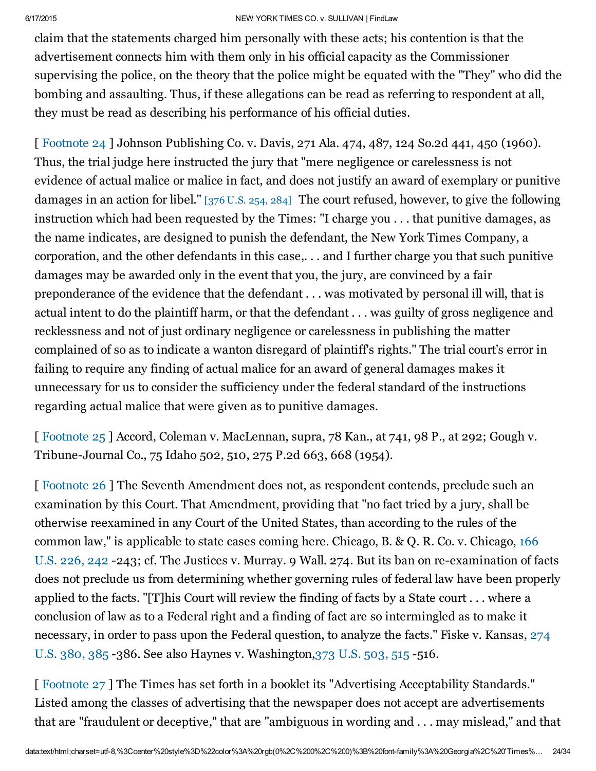claim that the statements charged him personally with these acts; his contention is that the advertisement connects him with them only in his official capacity as the Commissioner supervising the police, on the theory that the police might be equated with the "They" who did the bombing and assaulting. Thus, if these allegations can be read as referring to respondent at all, they must be read as describing his performance of his official duties.

[ [Footnote](http://caselaw.findlaw.com/us-supreme-court/376/254.html#t24) 24 ] Johnson Publishing Co. v. Davis, 271 Ala. 474, 487, 124 So. 2d 441, 450 (1960). Thus, the trial judge here instructed the jury that "mere negligence or carelessness is not evidence of actual malice or malice in fact, and does not justify an award of exemplary or punitive damages in an action for libel." [376 U.S. 254, 284] The court refused, however, to give the following instruction which had been requested by the Times: "I charge you . . . that punitive damages, as the name indicates, are designed to punish the defendant, the New York Times Company, a corporation, and the other defendants in this case,. . . and I further charge you that such punitive damages may be awarded only in the event that you, the jury, are convinced by a fair preponderance of the evidence that the defendant . . . was motivated by personal ill will, that is actual intent to do the plaintiff harm, or that the defendant . . . was guilty of gross negligence and recklessness and not of just ordinary negligence or carelessness in publishing the matter complained of so as to indicate a wanton disregard of plaintiff's rights." The trial court's error in failing to require any finding of actual malice for an award of general damages makes it unnecessary for us to consider the sufficiency under the federal standard of the instructions regarding actual malice that were given as to punitive damages.

[ [Footnote](http://caselaw.findlaw.com/us-supreme-court/376/254.html#t25) 25 ] Accord, Coleman v. MacLennan, supra, 78 Kan., at 741, 98 P., at 292; Gough v. Tribune-Journal Co., 75 Idaho 502, 510, 275 P.2d 663, 668 (1954).

[ [Footnote](http://caselaw.findlaw.com/us-supreme-court/376/254.html#t26) 26 ] The Seventh Amendment does not, as respondent contends, preclude such an examination by this Court. That Amendment, providing that "no fact tried by a jury, shall be otherwise reexamined in any Court of the United States, than according to the rules of the common law," is applicable to state cases coming here. Chicago, B. & Q. R. Co. v. Chicago, 166 U.S. 226, 242 -243; cf. The Justices v. Murray. 9 Wall. 274. But its ban on re-examination of facts does not preclude us from determining whether governing rules of federal law have been properly applied to the facts. "[T]his Court will review the finding of facts by a State court . . . where a conclusion of law as to a Federal right and a finding of fact are so intermingled as to make it necessary, in order to pass upon the Federal question, to analyze the facts." Fiske v. Kansas, 274 U.S. 380, 385 - 386. See also Haynes v. Washington, 373 U.S. [503,](http://caselaw.findlaw.com/us-supreme-court/373/503.html#515) 515 - 516.

[ [Footnote](http://caselaw.findlaw.com/us-supreme-court/376/254.html#t27) 27 ] The Times has set forth in a booklet its "Advertising Acceptability Standards." Listed among the classes of advertising that the newspaper does not accept are advertisements that are "fraudulent or deceptive," that are "ambiguous in wording and . . . may mislead," and that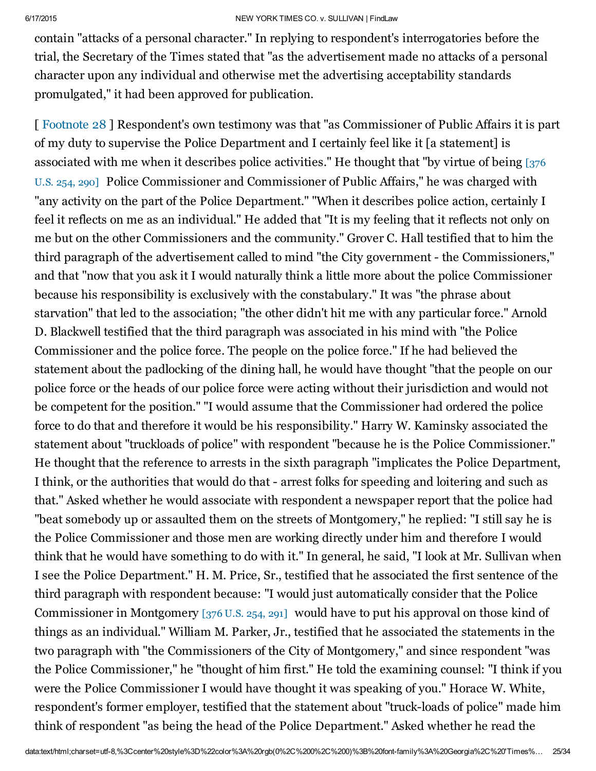contain "attacks of a personal character." In replying to respondent's interrogatories before the trial, the Secretary of the Times stated that "as the advertisement made no attacks of a personal character upon any individual and otherwise met the advertising acceptability standards promulgated," it had been approved for publication.

[ [Footnote](http://caselaw.findlaw.com/us-supreme-court/376/254.html#t28) 28 ] Respondent's own testimony was that "as Commissioner of Public Affairs it is part of my duty to supervise the Police Department and I certainly feel like it [a statement] is associated with me when it describes police activities." He thought that "by virtue of being [376 U.S. 254, 290] Police Commissioner and Commissioner of Public Affairs," he was charged with "any activity on the part of the Police Department." "When it describes police action, certainly I feel it reflects on me as an individual." He added that "It is my feeling that it reflects not only on me but on the other Commissioners and the community." Grover C. Hall testified that to him the third paragraph of the advertisement called to mind "the City government - the Commissioners," and that "now that you ask it I would naturally think a little more about the police Commissioner because his responsibility is exclusively with the constabulary." It was "the phrase about starvation" that led to the association; "the other didn't hit me with any particular force." Arnold D. Blackwell testified that the third paragraph was associated in his mind with "the Police Commissioner and the police force. The people on the police force." If he had believed the statement about the padlocking of the dining hall, he would have thought "that the people on our police force or the heads of our police force were acting without their jurisdiction and would not be competent for the position." "I would assume that the Commissioner had ordered the police force to do that and therefore it would be his responsibility." Harry W. Kaminsky associated the statement about "truckloads of police" with respondent "because he is the Police Commissioner." He thought that the reference to arrests in the sixth paragraph "implicates the Police Department, I think, or the authorities that would do that - arrest folks for speeding and loitering and such as that." Asked whether he would associate with respondent a newspaper report that the police had "beat somebody up or assaulted them on the streets of Montgomery," he replied: "I still say he is the Police Commissioner and those men are working directly under him and therefore I would think that he would have something to do with it." In general, he said, "I look at Mr. Sullivan when I see the Police Department." H. M. Price, Sr., testified that he associated the first sentence of the third paragraph with respondent because: "I would just automatically consider that the Police Commissioner in Montgomery [376 U.S. 254, 291] would have to put his approval on those kind of things as an individual." William M. Parker, Jr., testified that he associated the statements in the two paragraph with "the Commissioners of the City of Montgomery," and since respondent "was the Police Commissioner," he "thought of him first." He told the examining counsel: "I think if you were the Police Commissioner I would have thought it was speaking of you." Horace W. White, respondent's former employer, testified that the statement about "truck-loads of police" made him think of respondent "as being the head of the Police Department." Asked whether he read the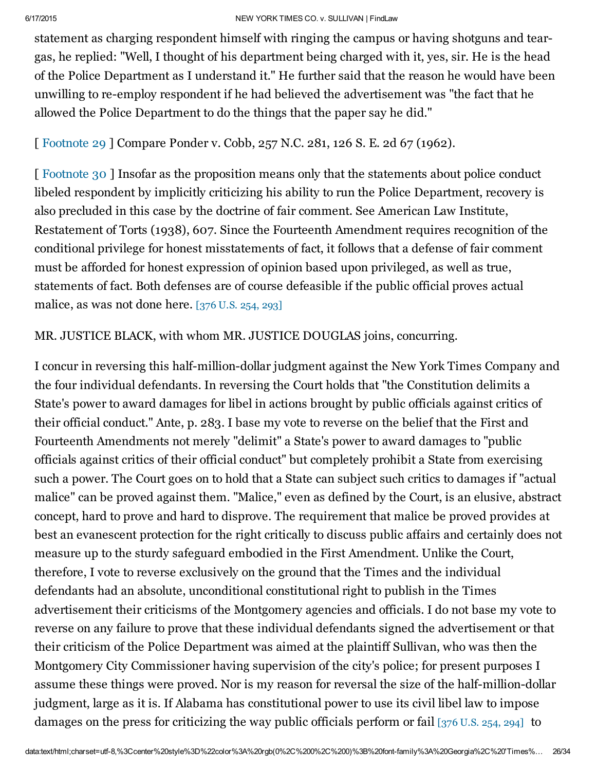statement as charging respondent himself with ringing the campus or having shotguns and teargas, he replied: "Well, I thought of his department being charged with it, yes, sir. He is the head of the Police Department as I understand it." He further said that the reason he would have been unwilling to re-employ respondent if he had believed the advertisement was "the fact that he allowed the Police Department to do the things that the paper say he did."

## [ [Footnote](http://caselaw.findlaw.com/us-supreme-court/376/254.html#t29) 29 ] Compare Ponder v. Cobb, 257 N.C. 281, 126 S. E. 2d 67 (1962).

[[Footnote](http://caselaw.findlaw.com/us-supreme-court/376/254.html#t30) 30] Insofar as the proposition means only that the statements about police conduct libeled respondent by implicitly criticizing his ability to run the Police Department, recovery is also precluded in this case by the doctrine of fair comment. See American Law Institute, Restatement of Torts (1938), 607. Since the Fourteenth Amendment requires recognition of the conditional privilege for honest misstatements of fact, it follows that a defense of fair comment must be afforded for honest expression of opinion based upon privileged, as well as true, statements of fact. Both defenses are of course defeasible if the public official proves actual malice, as was not done here. [376 U.S. 254, 293]

## MR. JUSTICE BLACK, with whom MR. JUSTICE DOUGLAS joins, concurring.

I concur in reversing this half-million-dollar judgment against the New York Times Company and the four individual defendants. In reversing the Court holds that "the Constitution delimits a State's power to award damages for libel in actions brought by public officials against critics of their official conduct." Ante, p. 283. I base my vote to reverse on the belief that the First and Fourteenth Amendments not merely "delimit" a State's power to award damages to "public officials against critics of their official conduct" but completely prohibit a State from exercising such a power. The Court goes on to hold that a State can subject such critics to damages if "actual malice" can be proved against them. "Malice," even as defined by the Court, is an elusive, abstract concept, hard to prove and hard to disprove. The requirement that malice be proved provides at best an evanescent protection for the right critically to discuss public affairs and certainly does not measure up to the sturdy safeguard embodied in the First Amendment. Unlike the Court, therefore, I vote to reverse exclusively on the ground that the Times and the individual defendants had an absolute, unconditional constitutional right to publish in the Times advertisement their criticisms of the Montgomery agencies and officials. I do not base my vote to reverse on any failure to prove that these individual defendants signed the advertisement or that their criticism of the Police Department was aimed at the plaintiff Sullivan, who was then the Montgomery City Commissioner having supervision of the city's police; for present purposes I assume these things were proved. Nor is my reason for reversal the size of the half-million-dollar judgment, large as it is. If Alabama has constitutional power to use its civil libel law to impose damages on the press for criticizing the way public officials perform or fail [376 U.S. 254, 294] to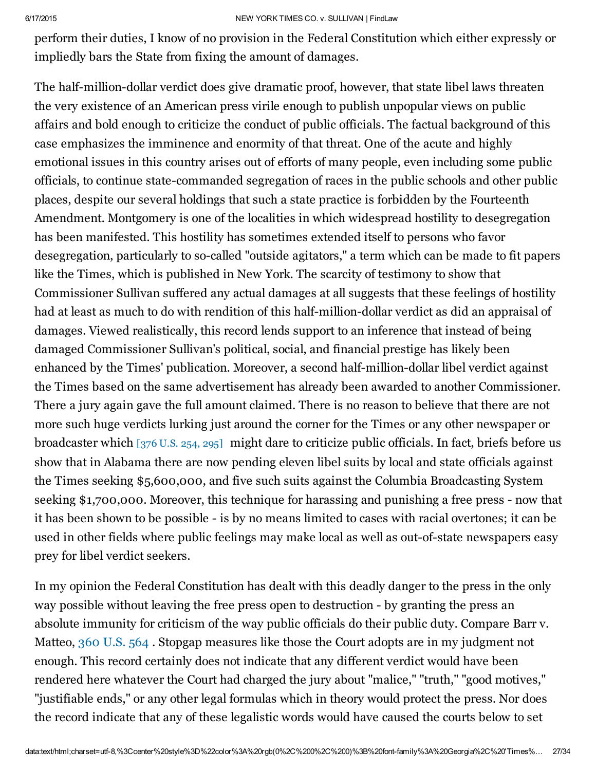perform their duties, I know of no provision in the Federal Constitution which either expressly or impliedly bars the State from fixing the amount of damages.

The half-million-dollar verdict does give dramatic proof, however, that state libel laws threaten the very existence of an American press virile enough to publish unpopular views on public affairs and bold enough to criticize the conduct of public officials. The factual background of this case emphasizes the imminence and enormity of that threat. One of the acute and highly emotional issues in this country arises out of efforts of many people, even including some public officials, to continue state-commanded segregation of races in the public schools and other public places, despite our several holdings that such a state practice is forbidden by the Fourteenth Amendment. Montgomery is one of the localities in which widespread hostility to desegregation has been manifested. This hostility has sometimes extended itself to persons who favor desegregation, particularly to so-called "outside agitators," a term which can be made to fit papers like the Times, which is published in New York. The scarcity of testimony to show that Commissioner Sullivan suffered any actual damages at all suggests that these feelings of hostility had at least as much to do with rendition of this half-million-dollar verdict as did an appraisal of damages. Viewed realistically, this record lends support to an inference that instead of being damaged Commissioner Sullivan's political, social, and financial prestige has likely been enhanced by the Times' publication. Moreover, a second half-million-dollar libel verdict against the Times based on the same advertisement has already been awarded to another Commissioner. There a jury again gave the full amount claimed. There is no reason to believe that there are not more such huge verdicts lurking just around the corner for the Times or any other newspaper or broadcaster which [376 U.S. 254, 295] might dare to criticize public officials. In fact, briefs before us show that in Alabama there are now pending eleven libel suits by local and state officials against the Times seeking \$5,600,000, and five such suits against the Columbia Broadcasting System seeking \$1,700,000. Moreover, this technique for harassing and punishing a free press - now that it has been shown to be possible - is by no means limited to cases with racial overtones; it can be used in other fields where public feelings may make local as well as out-of-state newspapers easy prey for libel verdict seekers.

In my opinion the Federal Constitution has dealt with this deadly danger to the press in the only way possible without leaving the free press open to destruction - by granting the press an absolute immunity for criticism of the way public officials do their public duty. Compare Barr v. Matteo, 360 [U.S.](http://caselaw.findlaw.com/us-supreme-court/360/564.html) 564 . Stopgap measures like those the Court adopts are in my judgment not enough. This record certainly does not indicate that any different verdict would have been rendered here whatever the Court had charged the jury about "malice," "truth," "good motives," "justifiable ends," or any other legal formulas which in theory would protect the press. Nor does the record indicate that any of these legalistic words would have caused the courts below to set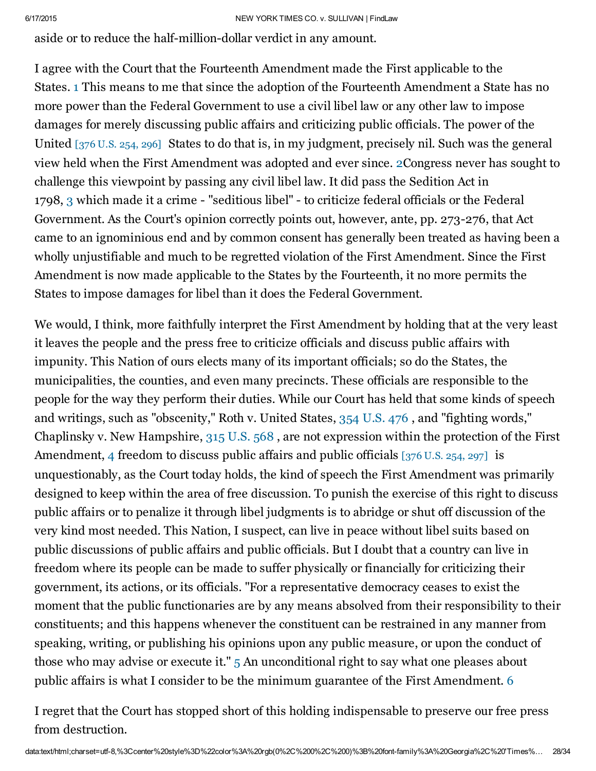aside or to reduce the half-million-dollar verdict in any amount.

I agree with the Court that the Fourteenth Amendment made the First applicable to the States. [1](http://caselaw.findlaw.com/us-supreme-court/376/254.html#fff1) This means to me that since the adoption of the Fourteenth Amendment a State has no more power than the Federal Government to use a civil libel law or any other law to impose damages for merely discussing public affairs and criticizing public officials. The power of the United [376 U.S. 254, 296] States to do that is, in my judgment, precisely nil. Such was the general view held when the First Amendment was adopted and ever since. [2](http://caselaw.findlaw.com/us-supreme-court/376/254.html#fff2)Congress never has sought to challenge this viewpoint by passing any civil libel law. It did pass the Sedition Act in 1798, [3](http://caselaw.findlaw.com/us-supreme-court/376/254.html#fff3) which made it a crime "seditious libel" to criticize federal officials or the Federal Government. As the Court's opinion correctly points out, however, ante, pp. 273-276, that Act came to an ignominious end and by common consent has generally been treated as having been a wholly unjustifiable and much to be regretted violation of the First Amendment. Since the First Amendment is now made applicable to the States by the Fourteenth, it no more permits the States to impose damages for libel than it does the Federal Government.

We would, I think, more faithfully interpret the First Amendment by holding that at the very least it leaves the people and the press free to criticize officials and discuss public affairs with impunity. This Nation of ours elects many of its important officials; so do the States, the municipalities, the counties, and even many precincts. These officials are responsible to the people for the way they perform their duties. While our Court has held that some kinds of speech and writings, such as "obscenity," Roth v. United States, 354 [U.S.](http://caselaw.findlaw.com/us-supreme-court/354/476.html) 476 , and "fighting words," Chaplinsky v. New Hampshire, 315 [U.S.](http://caselaw.findlaw.com/us-supreme-court/315/568.html) 568 , are not expression within the protection of the First Amendment, [4](http://caselaw.findlaw.com/us-supreme-court/376/254.html#fff4) freedom to discuss public affairs and public officials [376 U.S. 254, 297] is unquestionably, as the Court today holds, the kind of speech the First Amendment was primarily designed to keep within the area of free discussion. To punish the exercise of this right to discuss public affairs or to penalize it through libel judgments is to abridge or shut off discussion of the very kind most needed. This Nation, I suspect, can live in peace without libel suits based on public discussions of public affairs and public officials. But I doubt that a country can live in freedom where its people can be made to suffer physically or financially for criticizing their government, its actions, or its officials. "For a representative democracy ceases to exist the moment that the public functionaries are by any means absolved from their responsibility to their constituents; and this happens whenever the constituent can be restrained in any manner from speaking, writing, or publishing his opinions upon any public measure, or upon the conduct of those who may advise or execute it." [5](http://caselaw.findlaw.com/us-supreme-court/376/254.html#fff5) An unconditional right to say what one pleases about public affairs is what I consider to be the minimum guarantee of the First Amendment. [6](http://caselaw.findlaw.com/us-supreme-court/376/254.html#fff6)

I regret that the Court has stopped short of this holding indispensable to preserve our free press from destruction.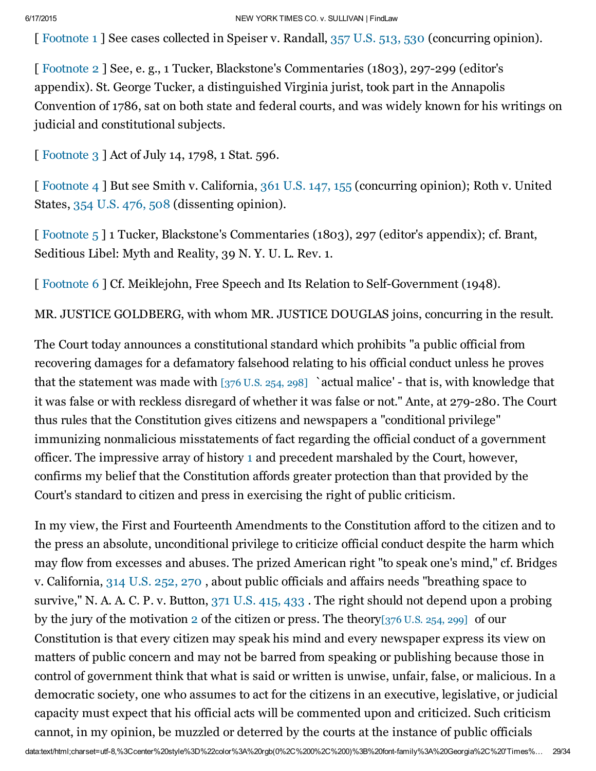[ [Footnote](http://caselaw.findlaw.com/us-supreme-court/376/254.html#ttt1) 1 ] See cases collected in Speiser v. Randall, 357 [U.S.](http://caselaw.findlaw.com/us-supreme-court/357/513.html#530) 513, 530 (concurring opinion).

[ [Footnote](http://caselaw.findlaw.com/us-supreme-court/376/254.html#ttt2) 2 ] See, e.g., 1 Tucker, Blackstone's Commentaries (1803), 297-299 (editor's appendix). St. George Tucker, a distinguished Virginia jurist, took part in the Annapolis Convention of 1786, sat on both state and federal courts, and was widely known for his writings on judicial and constitutional subjects.

[ [Footnote](http://caselaw.findlaw.com/us-supreme-court/376/254.html#ttt3) 3 ] Act of July 14, 1798, 1 Stat. 596.

[ [Footnote](http://caselaw.findlaw.com/us-supreme-court/376/254.html#ttt4) 4 ] But see Smith v. California, 361 [U.S.](http://caselaw.findlaw.com/us-supreme-court/361/147.html#155) 147, 155 (concurring opinion); Roth v. United States, 354 U.S. [476,](http://caselaw.findlaw.com/us-supreme-court/354/476.html#508) 508 (dissenting opinion).

[ [Footnote](http://caselaw.findlaw.com/us-supreme-court/376/254.html#ttt5) 5 ] 1 Tucker, Blackstone's Commentaries (1803), 297 (editor's appendix); cf. Brant, Seditious Libel: Myth and Reality, 39 N. Y. U. L. Rev. 1.

[ [Footnote](http://caselaw.findlaw.com/us-supreme-court/376/254.html#ttt6) 6 ] Cf. Meiklejohn, Free Speech and Its Relation to Self-Government (1948).

MR. JUSTICE GOLDBERG, with whom MR. JUSTICE DOUGLAS joins, concurring in the result.

The Court today announces a constitutional standard which prohibits "a public official from recovering damages for a defamatory falsehood relating to his official conduct unless he proves that the statement was made with  $[376 \text{ U.S. } 254, 298]$  `actual malice' - that is, with knowledge that it was false or with reckless disregard of whether it was false or not." Ante, at 279-280. The Court thus rules that the Constitution gives citizens and newspapers a "conditional privilege" immunizing nonmalicious misstatements of fact regarding the official conduct of a government officer. The impressive array of history [1](http://caselaw.findlaw.com/us-supreme-court/376/254.html#ff1) and precedent marshaled by the Court, however, confirms my belief that the Constitution affords greater protection than that provided by the Court's standard to citizen and press in exercising the right of public criticism.

In my view, the First and Fourteenth Amendments to the Constitution afford to the citizen and to the press an absolute, unconditional privilege to criticize official conduct despite the harm which may flow from excesses and abuses. The prized American right "to speak one's mind," cf. Bridges v. California, 314 U.S. [252,](http://caselaw.findlaw.com/us-supreme-court/314/252.html#270) 270 , about public officials and affairs needs "breathing space to survive," N. A. A. C. P. v. Button, 371 [U.S.](http://caselaw.findlaw.com/us-supreme-court/371/415.html#433) 415, 433 . The right should not depend upon a probing by the jury of the motivation [2](http://caselaw.findlaw.com/us-supreme-court/376/254.html#ff2) of the citizen or press. The theory[376 U.S. 254, 299] of our Constitution is that every citizen may speak his mind and every newspaper express its view on matters of public concern and may not be barred from speaking or publishing because those in control of government think that what is said or written is unwise, unfair, false, or malicious. In a democratic society, one who assumes to act for the citizens in an executive, legislative, or judicial capacity must expect that his official acts will be commented upon and criticized. Such criticism cannot, in my opinion, be muzzled or deterred by the courts at the instance of public officials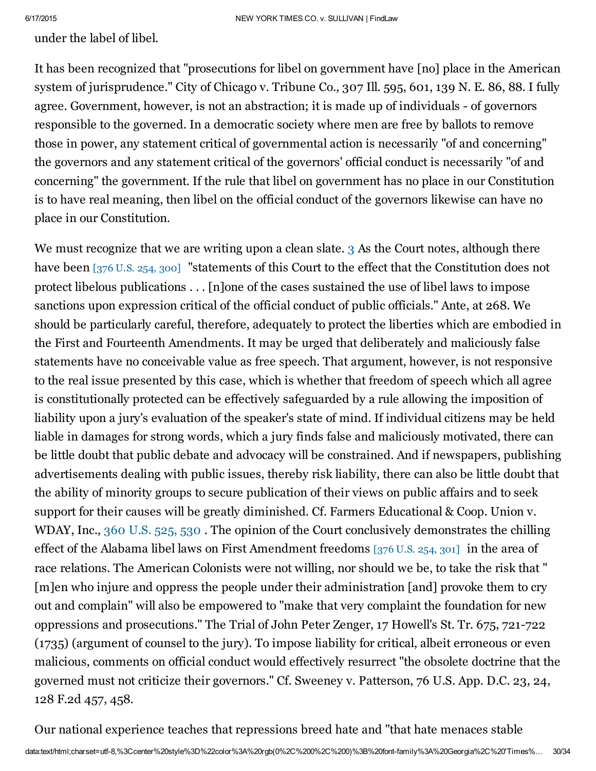under the label of libel.

It has been recognized that "prosecutions for libel on government have [no] place in the American system of jurisprudence." City of Chicago v. Tribune Co., 307 Ill. 595, 601, 139 N. E. 86, 88. I fully agree. Government, however, is not an abstraction; it is made up of individuals - of governors responsible to the governed. In a democratic society where men are free by ballots to remove those in power, any statement critical of governmental action is necessarily "of and concerning" the governors and any statement critical of the governors' official conduct is necessarily "of and concerning" the government. If the rule that libel on government has no place in our Constitution is to have real meaning, then libel on the official conduct of the governors likewise can have no place in our Constitution.

We must recognize that we are writing upon a clean slate. [3](http://caselaw.findlaw.com/us-supreme-court/376/254.html#ff3) As the Court notes, although there have been [376 U.S. 254, 300] "statements of this Court to the effect that the Constitution does not protect libelous publications . . . [n]one of the cases sustained the use of libel laws to impose sanctions upon expression critical of the official conduct of public officials." Ante, at 268. We should be particularly careful, therefore, adequately to protect the liberties which are embodied in the First and Fourteenth Amendments. It may be urged that deliberately and maliciously false statements have no conceivable value as free speech. That argument, however, is not responsive to the real issue presented by this case, which is whether that freedom of speech which all agree is constitutionally protected can be effectively safeguarded by a rule allowing the imposition of liability upon a jury's evaluation of the speaker's state of mind. If individual citizens may be held liable in damages for strong words, which a jury finds false and maliciously motivated, there can be little doubt that public debate and advocacy will be constrained. And if newspapers, publishing advertisements dealing with public issues, thereby risk liability, there can also be little doubt that the ability of minority groups to secure publication of their views on public affairs and to seek support for their causes will be greatly diminished. Cf. Farmers Educational & Coop. Union v. WDAY, Inc., 360 [U.S.](http://caselaw.findlaw.com/us-supreme-court/360/525.html#530) 525, 530 . The opinion of the Court conclusively demonstrates the chilling effect of the Alabama libel laws on First Amendment freedoms [376 U.S. 254, 301] in the area of race relations. The American Colonists were not willing, nor should we be, to take the risk that " [m]en who injure and oppress the people under their administration [and] provoke them to cry out and complain" will also be empowered to "make that very complaint the foundation for new oppressions and prosecutions." The Trial of John Peter Zenger, 17 Howell's St. Tr. 675, 721-722 (1735) (argument of counsel to the jury). To impose liability for critical, albeit erroneous or even malicious, comments on official conduct would effectively resurrect "the obsolete doctrine that the governed must not criticize their governors." Cf. Sweeney v. Patterson, 76 U.S. App. D.C. 23, 24, 128 F.2d 457, 458.

Our national experience teaches that repressions breed hate and "that hate menaces stable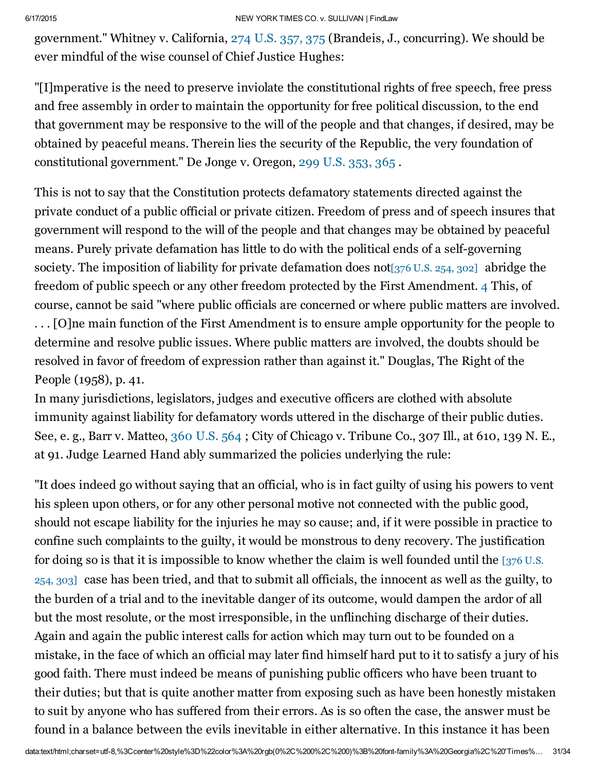government." Whitney v. California, 274 [U.S.](http://caselaw.findlaw.com/us-supreme-court/274/357.html#375) 357, 375 (Brandeis, J., concurring). We should be ever mindful of the wise counsel of Chief Justice Hughes:

"[I]mperative is the need to preserve inviolate the constitutional rights of free speech, free press and free assembly in order to maintain the opportunity for free political discussion, to the end that government may be responsive to the will of the people and that changes, if desired, may be obtained by peaceful means. Therein lies the security of the Republic, the very foundation of constitutional government." De Jonge v. Oregon, 299 U.S. [353,](http://caselaw.findlaw.com/us-supreme-court/299/353.html#365) 365 .

This is not to say that the Constitution protects defamatory statements directed against the private conduct of a public official or private citizen. Freedom of press and of speech insures that government will respond to the will of the people and that changes may be obtained by peaceful means. Purely private defamation has little to do with the political ends of a self-governing society. The imposition of liability for private defamation does not  $[376 \text{ U.S. } 254, 302]$  abridge the freedom of public speech or any other freedom protected by the First Amendment. [4](http://caselaw.findlaw.com/us-supreme-court/376/254.html#ff4) This, of course, cannot be said "where public officials are concerned or where public matters are involved. . . . [O]ne main function of the First Amendment is to ensure ample opportunity for the people to determine and resolve public issues. Where public matters are involved, the doubts should be resolved in favor of freedom of expression rather than against it." Douglas, The Right of the People (1958), p. 41.

In many jurisdictions, legislators, judges and executive officers are clothed with absolute immunity against liability for defamatory words uttered in the discharge of their public duties. See, e. g., Barr v. Matteo, 360 [U.S.](http://caselaw.findlaw.com/us-supreme-court/360/564.html) 564 ; City of Chicago v. Tribune Co., 307 Ill., at 610, 139 N. E., at 91. Judge Learned Hand ably summarized the policies underlying the rule:

"It does indeed go without saying that an official, who is in fact guilty of using his powers to vent his spleen upon others, or for any other personal motive not connected with the public good, should not escape liability for the injuries he may so cause; and, if it were possible in practice to confine such complaints to the guilty, it would be monstrous to deny recovery. The justification for doing so is that it is impossible to know whether the claim is well founded until the  $\frac{1376 \text{ U.S.}}{60}$ 254, 303] case has been tried, and that to submit all officials, the innocent as well as the guilty, to the burden of a trial and to the inevitable danger of its outcome, would dampen the ardor of all but the most resolute, or the most irresponsible, in the unflinching discharge of their duties. Again and again the public interest calls for action which may turn out to be founded on a mistake, in the face of which an official may later find himself hard put to it to satisfy a jury of his good faith. There must indeed be means of punishing public officers who have been truant to their duties; but that is quite another matter from exposing such as have been honestly mistaken to suit by anyone who has suffered from their errors. As is so often the case, the answer must be found in a balance between the evils inevitable in either alternative. In this instance it has been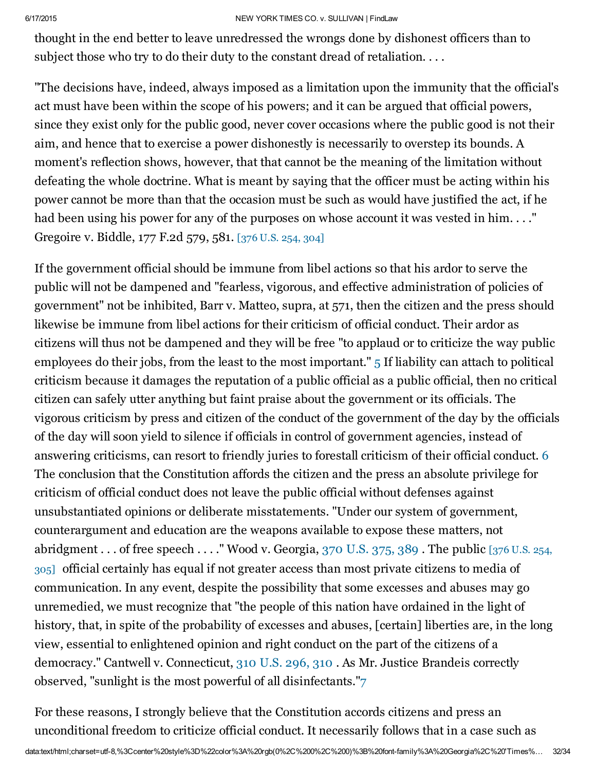thought in the end better to leave unredressed the wrongs done by dishonest officers than to subject those who try to do their duty to the constant dread of retaliation. . . .

"The decisions have, indeed, always imposed as a limitation upon the immunity that the official's act must have been within the scope of his powers; and it can be argued that official powers, since they exist only for the public good, never cover occasions where the public good is not their aim, and hence that to exercise a power dishonestly is necessarily to overstep its bounds. A moment's reflection shows, however, that that cannot be the meaning of the limitation without defeating the whole doctrine. What is meant by saying that the officer must be acting within his power cannot be more than that the occasion must be such as would have justified the act, if he had been using his power for any of the purposes on whose account it was vested in him...." Gregoire v. Biddle, 177 F.2d 579, 581. [376 U.S. 254, 304]

If the government official should be immune from libel actions so that his ardor to serve the public will not be dampened and "fearless, vigorous, and effective administration of policies of government" not be inhibited, Barr v. Matteo, supra, at 571, then the citizen and the press should likewise be immune from libel actions for their criticism of official conduct. Their ardor as citizens will thus not be dampened and they will be free "to applaud or to criticize the way public employees do their jobs, from the least to the most important." [5](http://caselaw.findlaw.com/us-supreme-court/376/254.html#ff5) If liability can attach to political criticism because it damages the reputation of a public official as a public official, then no critical citizen can safely utter anything but faint praise about the government or its officials. The vigorous criticism by press and citizen of the conduct of the government of the day by the officials of the day will soon yield to silence if officials in control of government agencies, instead of answering criticisms, can resort to friendly juries to forestall criticism of their official conduct. [6](http://caselaw.findlaw.com/us-supreme-court/376/254.html#ff6) The conclusion that the Constitution affords the citizen and the press an absolute privilege for criticism of official conduct does not leave the public official without defenses against unsubstantiated opinions or deliberate misstatements. "Under our system of government, counterargument and education are the weapons available to expose these matters, not abridgment . . . of free speech . . . . " Wood v. Georgia,  $370$  [U.S.](http://caselaw.findlaw.com/us-supreme-court/370/375.html#389)  $375$ ,  $389$  . The public  $[376$  U.S.  $254$ , 305] official certainly has equal if not greater access than most private citizens to media of communication. In any event, despite the possibility that some excesses and abuses may go unremedied, we must recognize that "the people of this nation have ordained in the light of history, that, in spite of the probability of excesses and abuses, [certain] liberties are, in the long view, essential to enlightened opinion and right conduct on the part of the citizens of a democracy." Cantwell v. Connecticut, 310 U.S. [296,](http://caselaw.findlaw.com/us-supreme-court/310/296.html#310) 310 . As Mr. Justice Brandeis correctly observed, "sunlight is the most powerful of all disinfectants.["7](http://caselaw.findlaw.com/us-supreme-court/376/254.html#ff7)

For these reasons, I strongly believe that the Constitution accords citizens and press an unconditional freedom to criticize official conduct. It necessarily follows that in a case such as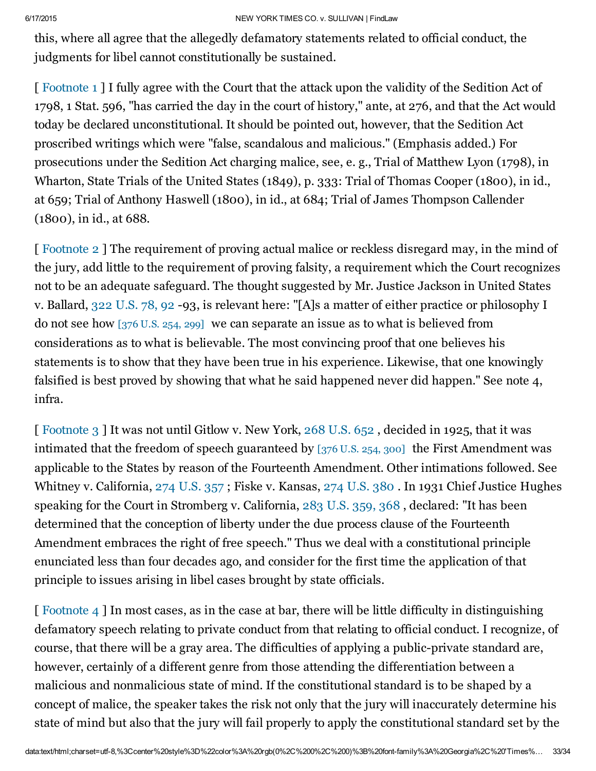this, where all agree that the allegedly defamatory statements related to official conduct, the judgments for libel cannot constitutionally be sustained.

[ [Footnote](http://caselaw.findlaw.com/us-supreme-court/376/254.html#tt1) 1 ] I fully agree with the Court that the attack upon the validity of the Sedition Act of 1798, 1 Stat. 596, "has carried the day in the court of history," ante, at 276, and that the Act would today be declared unconstitutional. It should be pointed out, however, that the Sedition Act proscribed writings which were "false, scandalous and malicious." (Emphasis added.) For prosecutions under the Sedition Act charging malice, see, e. g., Trial of Matthew Lyon (1798), in Wharton, State Trials of the United States (1849), p. 333: Trial of Thomas Cooper (1800), in id., at 659; Trial of Anthony Haswell (1800), in id., at 684; Trial of James Thompson Callender (1800), in id., at 688.

[ [Footnote](http://caselaw.findlaw.com/us-supreme-court/376/254.html#tt2) 2 ] The requirement of proving actual malice or reckless disregard may, in the mind of the jury, add little to the requirement of proving falsity, a requirement which the Court recognizes not to be an adequate safeguard. The thought suggested by Mr. Justice Jackson in United States v. Ballard, 322 [U.S.](http://caselaw.findlaw.com/us-supreme-court/322/78.html#92) 78, 92 -93, is relevant here: "[A]s a matter of either practice or philosophy I do not see how [376 U.S. 254, 299] we can separate an issue as to what is believed from considerations as to what is believable. The most convincing proof that one believes his statements is to show that they have been true in his experience. Likewise, that one knowingly falsified is best proved by showing that what he said happened never did happen." See note 4, infra.

[[Footnote](http://caselaw.findlaw.com/us-supreme-court/376/254.html#tt3) 3] It was not until Gitlow v. New York, 268 [U.S.](http://caselaw.findlaw.com/us-supreme-court/268/652.html) 652, decided in 1925, that it was intimated that the freedom of speech guaranteed by [376 U.S. 254, 300] the First Amendment was applicable to the States by reason of the Fourteenth Amendment. Other intimations followed. See Whitney v. California, 274 [U.S.](http://caselaw.findlaw.com/us-supreme-court/274/357.html) 357 ; Fiske v. Kansas, 274 [U.S.](http://caselaw.findlaw.com/us-supreme-court/274/380.html) 380 . In 1931 Chief Justice Hughes speaking for the Court in Stromberg v. California, 283 U.S. [359,](http://caselaw.findlaw.com/us-supreme-court/283/359.html#368) 368 , declared: "It has been determined that the conception of liberty under the due process clause of the Fourteenth Amendment embraces the right of free speech." Thus we deal with a constitutional principle enunciated less than four decades ago, and consider for the first time the application of that principle to issues arising in libel cases brought by state officials.

[ [Footnote](http://caselaw.findlaw.com/us-supreme-court/376/254.html#tt4) 4 ] In most cases, as in the case at bar, there will be little difficulty in distinguishing defamatory speech relating to private conduct from that relating to official conduct. I recognize, of course, that there will be a gray area. The difficulties of applying a public-private standard are, however, certainly of a different genre from those attending the differentiation between a malicious and nonmalicious state of mind. If the constitutional standard is to be shaped by a concept of malice, the speaker takes the risk not only that the jury will inaccurately determine his state of mind but also that the jury will fail properly to apply the constitutional standard set by the